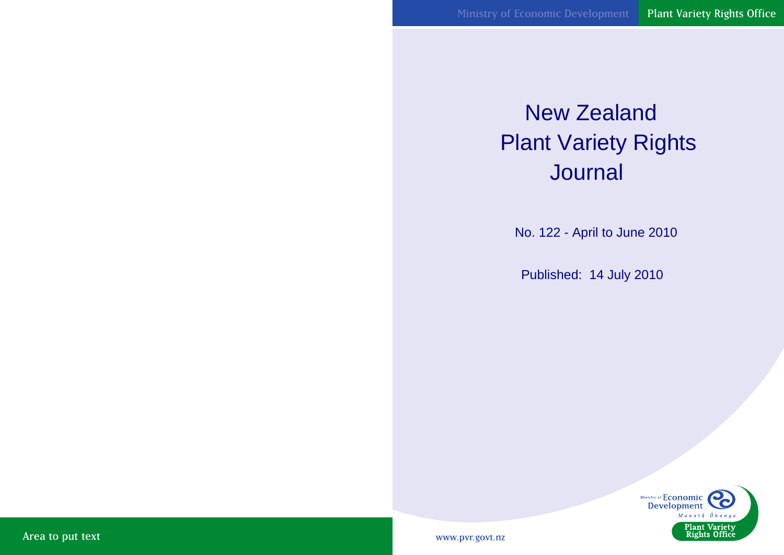# New Zealand Plant Variety Rights **Journal**

No. 122 - April to June 2010

Published: 14 July 2010



www.pvr.govt.nz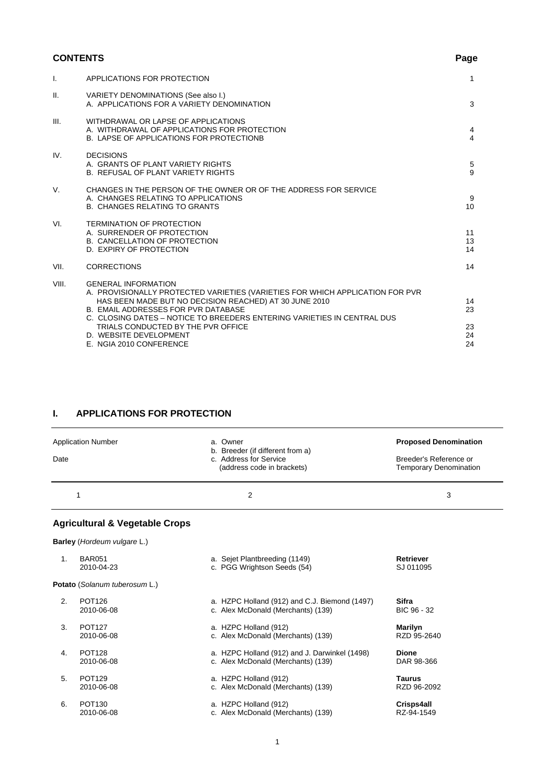# **CONTENTS** Page

| $\mathsf{L}$ | APPLICATIONS FOR PROTECTION                                                                                                                                                                                                                                                                                                                                                               | $\mathbf{1}$                     |
|--------------|-------------------------------------------------------------------------------------------------------------------------------------------------------------------------------------------------------------------------------------------------------------------------------------------------------------------------------------------------------------------------------------------|----------------------------------|
| Ш.           | VARIETY DENOMINATIONS (See also I.)<br>A. APPLICATIONS FOR A VARIETY DENOMINATION                                                                                                                                                                                                                                                                                                         | 3                                |
| III.         | WITHDRAWAL OR LAPSE OF APPLICATIONS<br>A. WITHDRAWAL OF APPLICATIONS FOR PROTECTION<br><b>B. LAPSE OF APPLICATIONS FOR PROTECTIONB</b>                                                                                                                                                                                                                                                    | $\overline{4}$<br>$\overline{4}$ |
| IV.          | <b>DECISIONS</b><br>A. GRANTS OF PLANT VARIETY RIGHTS<br><b>B. REFUSAL OF PLANT VARIETY RIGHTS</b>                                                                                                                                                                                                                                                                                        | 5<br>9                           |
| V.           | CHANGES IN THE PERSON OF THE OWNER OR OF THE ADDRESS FOR SERVICE<br>A. CHANGES RELATING TO APPLICATIONS<br><b>B. CHANGES RELATING TO GRANTS</b>                                                                                                                                                                                                                                           | 9<br>10                          |
| VI.          | <b>TERMINATION OF PROTECTION</b><br>A. SURRENDER OF PROTECTION<br>B. CANCELLATION OF PROTECTION<br>D. EXPIRY OF PROTECTION                                                                                                                                                                                                                                                                | 11<br>13<br>14                   |
| VII.         | <b>CORRECTIONS</b>                                                                                                                                                                                                                                                                                                                                                                        | 14                               |
| VIII.        | <b>GENERAL INFORMATION</b><br>A. PROVISIONALLY PROTECTED VARIETIES (VARIETIES FOR WHICH APPLICATION FOR PVR<br>HAS BEEN MADE BUT NO DECISION REACHED) AT 30 JUNE 2010<br><b>B. EMAIL ADDRESSES FOR PVR DATABASE</b><br>C. CLOSING DATES – NOTICE TO BREEDERS ENTERING VARIETIES IN CENTRAL DUS<br>TRIALS CONDUCTED BY THE PVR OFFICE<br>D. WEBSITE DEVELOPMENT<br>E. NGIA 2010 CONFERENCE | 14<br>23<br>23<br>24<br>24       |

# **I. APPLICATIONS FOR PROTECTION**

| Date | <b>Application Number</b>                 | a. Owner<br>b. Breeder (if different from a)<br>c. Address for Service<br>(address code in brackets) | <b>Proposed Denomination</b><br>Breeder's Reference or<br><b>Temporary Denomination</b> |
|------|-------------------------------------------|------------------------------------------------------------------------------------------------------|-----------------------------------------------------------------------------------------|
|      | 1                                         | $\overline{2}$                                                                                       | 3                                                                                       |
|      | <b>Agricultural &amp; Vegetable Crops</b> |                                                                                                      |                                                                                         |
|      | Barley (Hordeum vulgare L.)               |                                                                                                      |                                                                                         |
| 1.   | <b>BAR051</b>                             | a. Sejet Plantbreeding (1149)                                                                        | <b>Retriever</b>                                                                        |
|      | 2010-04-23                                | c. PGG Wrightson Seeds (54)                                                                          | SJ 011095                                                                               |
|      | Potato (Solanum tuberosum L.)             |                                                                                                      |                                                                                         |
| 2.   | POT126                                    | a. HZPC Holland (912) and C.J. Biemond (1497)                                                        | <b>Sifra</b>                                                                            |
|      | 2010-06-08                                | c. Alex McDonald (Merchants) (139)                                                                   | BIC 96 - 32                                                                             |
| 3.   | <b>POT127</b>                             | a. HZPC Holland (912)                                                                                | <b>Marilyn</b>                                                                          |
|      | 2010-06-08                                | c. Alex McDonald (Merchants) (139)                                                                   | RZD 95-2640                                                                             |
| 4.   | <b>POT128</b>                             | a. HZPC Holland (912) and J. Darwinkel (1498)                                                        | <b>Dione</b>                                                                            |
|      | 2010-06-08                                | c. Alex McDonald (Merchants) (139)                                                                   | DAR 98-366                                                                              |
| 5.   | <b>POT129</b>                             | a. HZPC Holland (912)                                                                                | <b>Taurus</b>                                                                           |
|      | 2010-06-08                                | c. Alex McDonald (Merchants) (139)                                                                   | RZD 96-2092                                                                             |
| 6.   | POT <sub>130</sub>                        | a. HZPC Holland (912)                                                                                | Crisps4all                                                                              |
|      | 2010-06-08                                | c. Alex McDonald (Merchants) (139)                                                                   | RZ-94-1549                                                                              |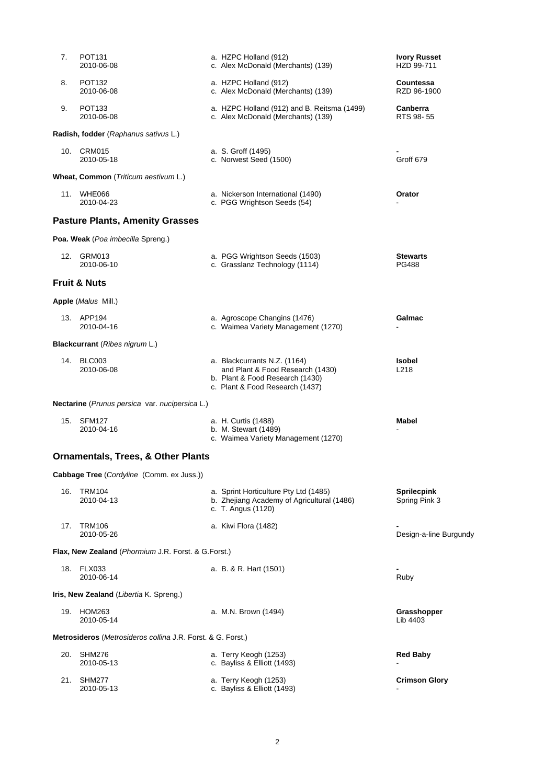| 7.  | POT <sub>131</sub><br>2010-06-08                            |  | a. HZPC Holland (912)<br>c. Alex McDonald (Merchants) (139)                                                                            | <b>Ivory Russet</b><br>HZD 99-711   |  |  |
|-----|-------------------------------------------------------------|--|----------------------------------------------------------------------------------------------------------------------------------------|-------------------------------------|--|--|
| 8.  | <b>POT132</b><br>2010-06-08                                 |  | a. HZPC Holland (912)<br>c. Alex McDonald (Merchants) (139)                                                                            | Countessa<br>RZD 96-1900            |  |  |
| 9.  | POT <sub>133</sub><br>2010-06-08                            |  | a. HZPC Holland (912) and B. Reitsma (1499)<br>c. Alex McDonald (Merchants) (139)                                                      | Canberra<br>RTS 98-55               |  |  |
|     | Radish, fodder (Raphanus sativus L.)                        |  |                                                                                                                                        |                                     |  |  |
|     | 10. CRM015<br>2010-05-18                                    |  | a. S. Groff (1495)<br>c. Norwest Seed (1500)                                                                                           | Groff 679                           |  |  |
|     | Wheat, Common (Triticum aestivum L.)                        |  |                                                                                                                                        |                                     |  |  |
|     | 11. WHE066<br>2010-04-23                                    |  | a. Nickerson International (1490)<br>c. PGG Wrightson Seeds (54)                                                                       | Orator                              |  |  |
|     | <b>Pasture Plants, Amenity Grasses</b>                      |  |                                                                                                                                        |                                     |  |  |
|     | Poa. Weak (Poa imbecilla Spreng.)                           |  |                                                                                                                                        |                                     |  |  |
|     | 12. GRM013<br>2010-06-10                                    |  | a. PGG Wrightson Seeds (1503)<br>c. Grasslanz Technology (1114)                                                                        | <b>Stewarts</b><br><b>PG488</b>     |  |  |
|     | <b>Fruit &amp; Nuts</b>                                     |  |                                                                                                                                        |                                     |  |  |
|     | Apple (Malus Mill.)                                         |  |                                                                                                                                        |                                     |  |  |
|     | 13. APP194<br>2010-04-16                                    |  | a. Agroscope Changins (1476)<br>c. Waimea Variety Management (1270)                                                                    | Galmac                              |  |  |
|     | <b>Blackcurrant</b> (Ribes nigrum L.)                       |  |                                                                                                                                        |                                     |  |  |
|     | 14. BLC003<br>2010-06-08                                    |  | a. Blackcurrants N.Z. (1164)<br>and Plant & Food Research (1430)<br>b. Plant & Food Research (1430)<br>c. Plant & Food Research (1437) | <b>Isobel</b><br>L218               |  |  |
|     | Nectarine (Prunus persica var. nucipersica L.)              |  |                                                                                                                                        |                                     |  |  |
|     | 15. SFM127<br>2010-04-16                                    |  | a. H. Curtis (1488)<br>b. M. Stewart (1489)<br>c. Waimea Variety Management (1270)                                                     | Mabel                               |  |  |
|     | <b>Ornamentals, Trees, &amp; Other Plants</b>               |  |                                                                                                                                        |                                     |  |  |
|     | Cabbage Tree (Cordyline (Comm. ex Juss.))                   |  |                                                                                                                                        |                                     |  |  |
| 16. | <b>TRM104</b><br>2010-04-13                                 |  | a. Sprint Horticulture Pty Ltd (1485)<br>b. Zhejiang Academy of Agricultural (1486)<br>c. T. Angus (1120)                              | <b>Sprilecpink</b><br>Spring Pink 3 |  |  |
| 17. | <b>TRM106</b><br>2010-05-26                                 |  | a. Kiwi Flora (1482)                                                                                                                   | Design-a-line Burgundy              |  |  |
|     | Flax, New Zealand (Phormium J.R. Forst. & G.Forst.)         |  |                                                                                                                                        |                                     |  |  |
|     | 18. FLX033<br>2010-06-14                                    |  | a. B. & R. Hart (1501)                                                                                                                 | Ruby                                |  |  |
|     | Iris, New Zealand (Libertia K. Spreng.)                     |  |                                                                                                                                        |                                     |  |  |
|     | 19. HOM263<br>2010-05-14                                    |  | a. M.N. Brown (1494)                                                                                                                   | Grasshopper<br>Lib 4403             |  |  |
|     | Metrosideros (Metrosideros collina J.R. Forst. & G. Forst.) |  |                                                                                                                                        |                                     |  |  |
| 20. | SHM276<br>2010-05-13                                        |  | a. Terry Keogh (1253)<br>c. Bayliss & Elliott (1493)                                                                                   | <b>Red Baby</b>                     |  |  |
| 21. | <b>SHM277</b><br>2010-05-13                                 |  | a. Terry Keogh (1253)<br>c. Bayliss & Elliott (1493)                                                                                   | <b>Crimson Glory</b>                |  |  |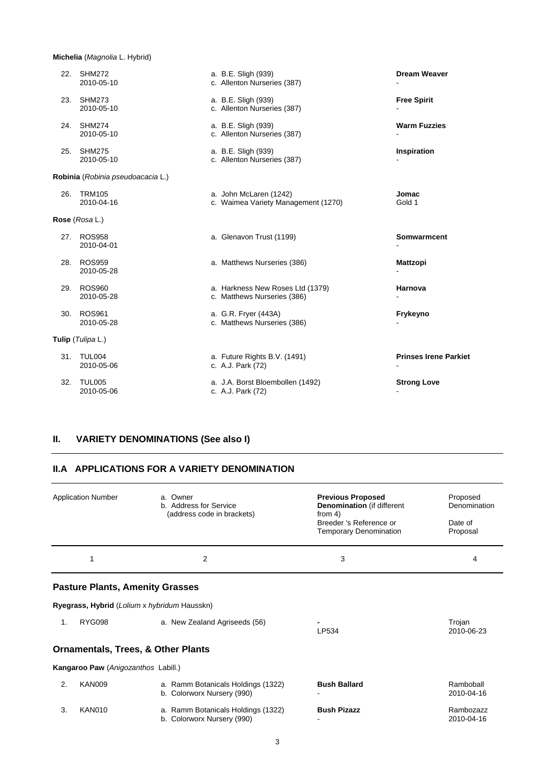### **Michelia** (*Magnolia* L. Hybrid)

| 22. | <b>SHM272</b><br>2010-05-10       | a. B.E. Sligh (939)<br>c. Allenton Nurseries (387)              | <b>Dream Weaver</b>          |
|-----|-----------------------------------|-----------------------------------------------------------------|------------------------------|
| 23. | <b>SHM273</b><br>2010-05-10       | a. B.E. Sligh (939)<br>c. Allenton Nurseries (387)              | <b>Free Spirit</b>           |
| 24. | <b>SHM274</b><br>2010-05-10       | a. B.E. Sligh (939)<br>c. Allenton Nurseries (387)              | <b>Warm Fuzzies</b>          |
| 25. | <b>SHM275</b><br>2010-05-10       | a. B.E. Sligh (939)<br>c. Allenton Nurseries (387)              | Inspiration                  |
|     | Robinia (Robinia pseudoacacia L.) |                                                                 |                              |
| 26. | <b>TRM105</b><br>2010-04-16       | a. John McLaren (1242)<br>c. Waimea Variety Management (1270)   | Jomac<br>Gold 1              |
|     | Rose (Rosa L.)                    |                                                                 |                              |
| 27. | <b>ROS958</b><br>2010-04-01       | a. Glenavon Trust (1199)                                        | Somwarmcent                  |
| 28. | <b>ROS959</b><br>2010-05-28       | a. Matthews Nurseries (386)                                     | <b>Mattzopi</b>              |
| 29. | <b>ROS960</b><br>2010-05-28       | a. Harkness New Roses Ltd (1379)<br>c. Matthews Nurseries (386) | Harnova                      |
| 30. | <b>ROS961</b><br>2010-05-28       | a. G.R. Fryer (443A)<br>c. Matthews Nurseries (386)             | Frykeyno                     |
|     | Tulip (Tulipa L.)                 |                                                                 |                              |
|     | 31. TUL004<br>2010-05-06          | a. Future Rights B.V. (1491)<br>c. A.J. Park (72)               | <b>Prinses Irene Parkiet</b> |
| 32. | <b>TUL005</b><br>2010-05-06       | a. J.A. Borst Bloembollen (1492)<br>c. A.J. Park (72)           | <b>Strong Love</b>           |

# **II. VARIETY DENOMINATIONS (See also I)**

#### **II.A APPLICATIONS FOR A VARIETY DENOMINATION**

|    | <b>Application Number</b>              | a. Owner<br>b. Address for Service<br>(address code in brackets) | <b>Previous Proposed</b><br><b>Denomination</b> (if different<br>from $4$ )<br>Breeder 's Reference or<br><b>Temporary Denomination</b> | Proposed<br>Denomination<br>Date of<br>Proposal |
|----|----------------------------------------|------------------------------------------------------------------|-----------------------------------------------------------------------------------------------------------------------------------------|-------------------------------------------------|
|    | 1                                      | 2                                                                | 3                                                                                                                                       | 4                                               |
|    | <b>Pasture Plants, Amenity Grasses</b> |                                                                  |                                                                                                                                         |                                                 |
|    |                                        | Ryegrass, Hybrid (Lolium x hybridum Hausskn)                     |                                                                                                                                         |                                                 |
| 1. | <b>RYG098</b>                          | a. New Zealand Agriseeds (56)                                    | LP534                                                                                                                                   | Trojan<br>2010-06-23                            |
|    |                                        | <b>Ornamentals, Trees, &amp; Other Plants</b>                    |                                                                                                                                         |                                                 |
|    | Kangaroo Paw (Anigozanthos Labill.)    |                                                                  |                                                                                                                                         |                                                 |
| 2. | <b>KAN009</b>                          | a. Ramm Botanicals Holdings (1322)<br>b. Colorworx Nursery (990) | <b>Bush Ballard</b>                                                                                                                     | Ramboball<br>2010-04-16                         |
| 3. | <b>KAN010</b>                          | a. Ramm Botanicals Holdings (1322)<br>b. Colorworx Nursery (990) | <b>Bush Pizazz</b>                                                                                                                      | Rambozazz<br>2010-04-16                         |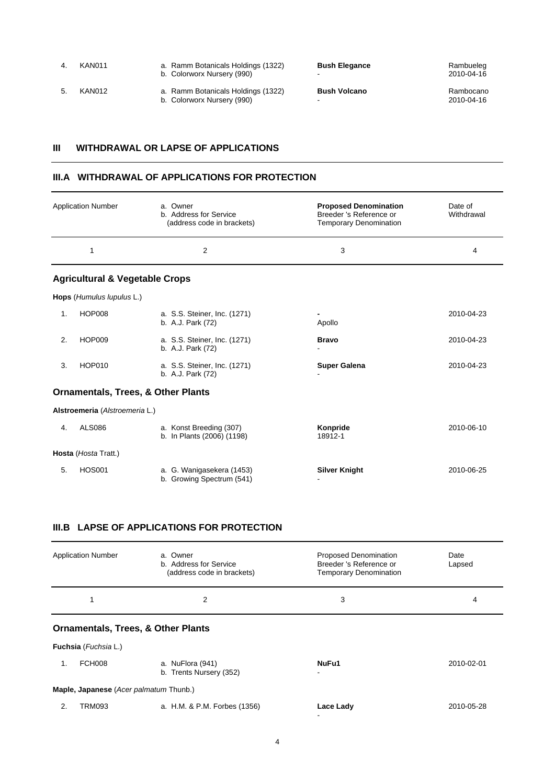| KAN011 | a. Ramm Botanicals Holdings (1322)<br>b. Colorworx Nursery (990) | <b>Bush Elegance</b><br>- | Rambueleg<br>2010-04-16 |
|--------|------------------------------------------------------------------|---------------------------|-------------------------|
| KAN012 | a. Ramm Botanicals Holdings (1322)<br>b. Colorworx Nursery (990) | <b>Bush Volcano</b>       | Rambocano<br>2010-04-16 |

## **III WITHDRAWAL OR LAPSE OF APPLICATIONS**

#### **III.A WITHDRAWAL OF APPLICATIONS FOR PROTECTION**

|    | <b>Application Number</b>                 | a. Owner<br>b. Address for Service<br>(address code in brackets) | <b>Proposed Denomination</b><br>Breeder 's Reference or<br><b>Temporary Denomination</b> | Date of<br>Withdrawal |
|----|-------------------------------------------|------------------------------------------------------------------|------------------------------------------------------------------------------------------|-----------------------|
|    | 1                                         | 2                                                                | 3                                                                                        | 4                     |
|    | <b>Agricultural &amp; Vegetable Crops</b> |                                                                  |                                                                                          |                       |
|    | Hops (Humulus lupulus L.)                 |                                                                  |                                                                                          |                       |
| 1. | <b>HOP008</b>                             | a. S.S. Steiner, Inc. (1271)<br>b. A.J. Park (72)                | Apollo                                                                                   | 2010-04-23            |
| 2. | <b>HOP009</b>                             | a. S.S. Steiner, Inc. (1271)<br>b. A.J. Park (72)                | <b>Bravo</b>                                                                             | 2010-04-23            |
| 3. | <b>HOP010</b>                             | a. S.S. Steiner, Inc. (1271)<br>b. A.J. Park (72)                | <b>Super Galena</b>                                                                      | 2010-04-23            |
|    |                                           | <b>Ornamentals, Trees, &amp; Other Plants</b>                    |                                                                                          |                       |
|    | Alstroemeria (Alstroemeria L.)            |                                                                  |                                                                                          |                       |
| 4. | <b>ALS086</b>                             | a. Konst Breeding (307)<br>b. In Plants (2006) (1198)            | Konpride<br>18912-1                                                                      | 2010-06-10            |
|    | Hosta (Hosta Tratt.)                      |                                                                  |                                                                                          |                       |
| 5. | <b>HOS001</b>                             | a. G. Wanigasekera (1453)<br>b. Growing Spectrum (541)           | <b>Silver Knight</b>                                                                     | 2010-06-25            |

# **III.B LAPSE OF APPLICATIONS FOR PROTECTION**

|    | <b>Application Number</b>                     | a. Owner<br>b. Address for Service<br>(address code in brackets) | <b>Proposed Denomination</b><br>Breeder 's Reference or<br><b>Temporary Denomination</b> | Date<br>Lapsed |  |  |
|----|-----------------------------------------------|------------------------------------------------------------------|------------------------------------------------------------------------------------------|----------------|--|--|
|    |                                               | 2                                                                | 3                                                                                        | 4              |  |  |
|    | <b>Ornamentals, Trees, &amp; Other Plants</b> |                                                                  |                                                                                          |                |  |  |
|    | Fuchsia (Fuchsia L.)                          |                                                                  |                                                                                          |                |  |  |
| 1. | <b>FCH008</b>                                 | a. NuFlora (941)<br>b. Trents Nursery (352)                      | NuFu1                                                                                    | 2010-02-01     |  |  |
|    | Maple, Japanese (Acer palmatum Thunb.)        |                                                                  |                                                                                          |                |  |  |
| 2. | <b>TRM093</b>                                 | a. H.M. & P.M. Forbes (1356)                                     | Lace Lady                                                                                | 2010-05-28     |  |  |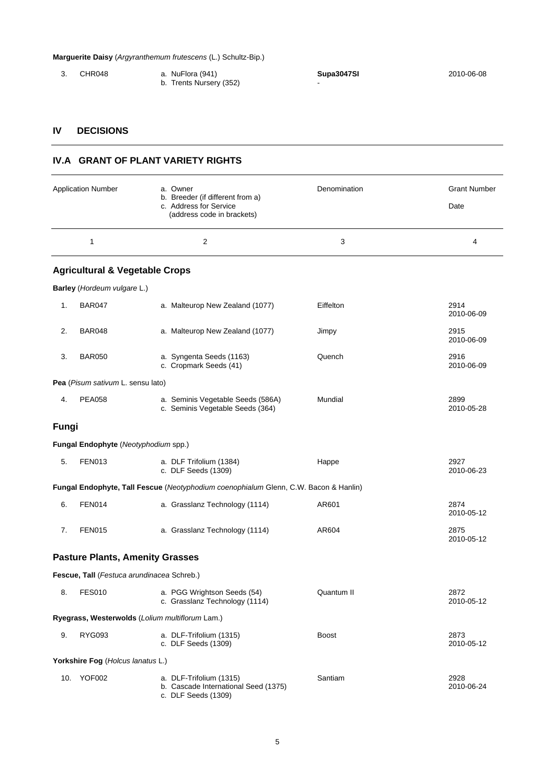#### **Marguerite Daisy** (*Argyranthemum frutescens* (L.) Schultz-Bip.)

 3. CHR048 a. NuFlora (941) **Supa3047SI** 2010-06-08 b. Trents Nursery (352) **Fig. 1** -

# **IV DECISIONS**

## **IV.A GRANT OF PLANT VARIETY RIGHTS**

|       | <b>Application Number</b>                       | a. Owner                                                                                 | Denomination | <b>Grant Number</b> |
|-------|-------------------------------------------------|------------------------------------------------------------------------------------------|--------------|---------------------|
|       |                                                 | b. Breeder (if different from a)<br>c. Address for Service<br>(address code in brackets) |              | Date                |
|       | 1                                               | 2                                                                                        | 3            | 4                   |
|       | <b>Agricultural &amp; Vegetable Crops</b>       |                                                                                          |              |                     |
|       | Barley (Hordeum vulgare L.)                     |                                                                                          |              |                     |
| 1.    | <b>BAR047</b>                                   | a. Malteurop New Zealand (1077)                                                          | Eiffelton    | 2914<br>2010-06-09  |
| 2.    | <b>BAR048</b>                                   | a. Malteurop New Zealand (1077)                                                          | Jimpy        | 2915<br>2010-06-09  |
| 3.    | <b>BAR050</b>                                   | a. Syngenta Seeds (1163)<br>c. Cropmark Seeds (41)                                       | Quench       | 2916<br>2010-06-09  |
|       | Pea (Pisum sativum L. sensu lato)               |                                                                                          |              |                     |
| 4.    | <b>PEA058</b>                                   | a. Seminis Vegetable Seeds (586A)<br>c. Seminis Vegetable Seeds (364)                    | Mundial      | 2899<br>2010-05-28  |
| Fungi |                                                 |                                                                                          |              |                     |
|       | Fungal Endophyte (Neotyphodium spp.)            |                                                                                          |              |                     |
| 5.    | <b>FEN013</b>                                   | a. DLF Trifolium (1384)<br>c. DLF Seeds (1309)                                           | Happe        | 2927<br>2010-06-23  |
|       |                                                 | Fungal Endophyte, Tall Fescue (Neotyphodium coenophialum Glenn, C.W. Bacon & Hanlin)     |              |                     |
| 6.    | <b>FEN014</b>                                   | a. Grasslanz Technology (1114)                                                           | AR601        | 2874<br>2010-05-12  |
| 7.    | <b>FEN015</b>                                   | a. Grasslanz Technology (1114)                                                           | AR604        | 2875<br>2010-05-12  |
|       | <b>Pasture Plants, Amenity Grasses</b>          |                                                                                          |              |                     |
|       | Fescue, Tall (Festuca arundinacea Schreb.)      |                                                                                          |              |                     |
| 8.    | <b>FES010</b>                                   | a. PGG Wrightson Seeds (54)<br>c. Grasslanz Technology (1114)                            | Quantum II   | 2872<br>2010-05-12  |
|       | Ryegrass, Westerwolds (Lolium multiflorum Lam.) |                                                                                          |              |                     |
| 9.    | <b>RYG093</b>                                   | a. DLF-Trifolium (1315)<br>c. DLF Seeds (1309)                                           | <b>Boost</b> | 2873<br>2010-05-12  |
|       | Yorkshire Fog (Holcus lanatus L.)               |                                                                                          |              |                     |
|       | 10. YOF002                                      | a. DLF-Trifolium (1315)<br>b. Cascade International Seed (1375)<br>c. DLF Seeds (1309)   | Santiam      | 2928<br>2010-06-24  |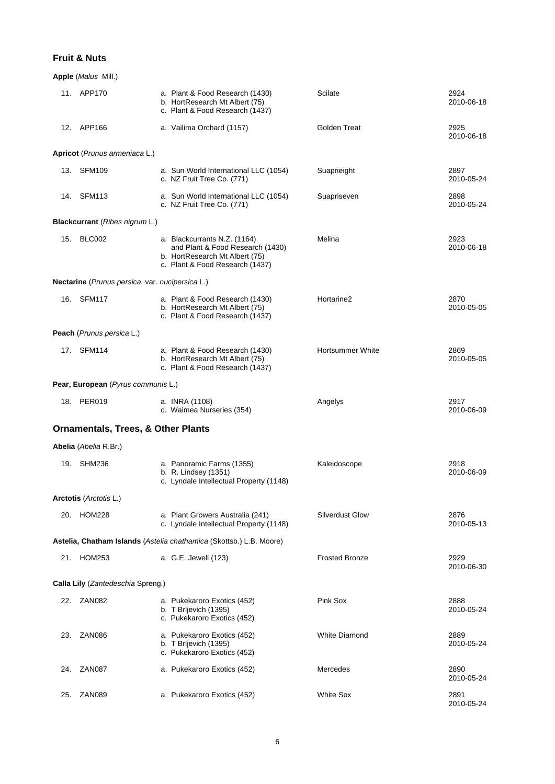# **Fruit & Nuts**

|     | <b>Apple</b> ( <i>Malus Mill.</i> )                   |                                                                                                                                       |                         |                    |
|-----|-------------------------------------------------------|---------------------------------------------------------------------------------------------------------------------------------------|-------------------------|--------------------|
|     | 11. APP170                                            | a. Plant & Food Research (1430)<br>b. HortResearch Mt Albert (75)<br>c. Plant & Food Research (1437)                                  | Scilate                 | 2924<br>2010-06-18 |
|     | 12. APP166                                            | a. Vailima Orchard (1157)                                                                                                             | <b>Golden Treat</b>     | 2925<br>2010-06-18 |
|     | Apricot (Prunus armeniaca L.)                         |                                                                                                                                       |                         |                    |
|     | 13. SFM109                                            | a. Sun World International LLC (1054)<br>c. NZ Fruit Tree Co. (771)                                                                   | Suaprieight             | 2897<br>2010-05-24 |
|     | 14. SFM113                                            | a. Sun World International LLC (1054)<br>c. NZ Fruit Tree Co. (771)                                                                   | Suapriseven             | 2898<br>2010-05-24 |
|     | Blackcurrant (Ribes nigrum L.)                        |                                                                                                                                       |                         |                    |
| 15. | BLC002                                                | a. Blackcurrants N.Z. (1164)<br>and Plant & Food Research (1430)<br>b. HortResearch Mt Albert (75)<br>c. Plant & Food Research (1437) | Melina                  | 2923<br>2010-06-18 |
|     | <b>Nectarine</b> (Prunus persica var. nucipersica L.) |                                                                                                                                       |                         |                    |
|     | 16. SFM117                                            | a. Plant & Food Research (1430)<br>b. HortResearch Mt Albert (75)<br>c. Plant & Food Research (1437)                                  | Hortarine <sub>2</sub>  | 2870<br>2010-05-05 |
|     | Peach (Prunus persica L.)                             |                                                                                                                                       |                         |                    |
|     | 17. SFM114                                            | a. Plant & Food Research (1430)<br>b. HortResearch Mt Albert (75)<br>c. Plant & Food Research (1437)                                  | <b>Hortsummer White</b> | 2869<br>2010-05-05 |
|     | Pear, European (Pyrus communis L.)                    |                                                                                                                                       |                         |                    |
|     | 18. PER019                                            | a. INRA (1108)<br>c. Waimea Nurseries (354)                                                                                           | Angelys                 | 2917<br>2010-06-09 |
|     | <b>Ornamentals, Trees, &amp; Other Plants</b>         |                                                                                                                                       |                         |                    |
|     | Abelia (Abelia R.Br.)                                 |                                                                                                                                       |                         |                    |
|     | 19. SHM236                                            | a. Panoramic Farms (1355)<br>b. R. Lindsey (1351)<br>c. Lyndale Intellectual Property (1148)                                          | Kaleidoscope            | 2918<br>2010-06-09 |
|     | Arctotis (Arctotis L.)                                |                                                                                                                                       |                         |                    |
| 20. | HOM228                                                | a. Plant Growers Australia (241)<br>c. Lyndale Intellectual Property (1148)                                                           | <b>Silverdust Glow</b>  | 2876<br>2010-05-13 |
|     |                                                       | Astelia, Chatham Islands (Astelia chathamica (Skottsb.) L.B. Moore)                                                                   |                         |                    |
| 21. | HOM253                                                | a. G.E. Jewell (123)                                                                                                                  | <b>Frosted Bronze</b>   | 2929<br>2010-06-30 |
|     | Calla Lily (Zantedeschia Spreng.)                     |                                                                                                                                       |                         |                    |
|     | 22. ZAN082                                            | a. Pukekaroro Exotics (452)<br>b. T Brljevich (1395)<br>c. Pukekaroro Exotics (452)                                                   | Pink Sox                | 2888<br>2010-05-24 |
| 23. | ZAN086                                                | a. Pukekaroro Exotics (452)<br>b. T Brljevich (1395)<br>c. Pukekaroro Exotics (452)                                                   | <b>White Diamond</b>    | 2889<br>2010-05-24 |
| 24. | ZAN087                                                | a. Pukekaroro Exotics (452)                                                                                                           | Mercedes                | 2890<br>2010-05-24 |
| 25. | ZAN089                                                | a. Pukekaroro Exotics (452)                                                                                                           | <b>White Sox</b>        | 2891<br>2010-05-24 |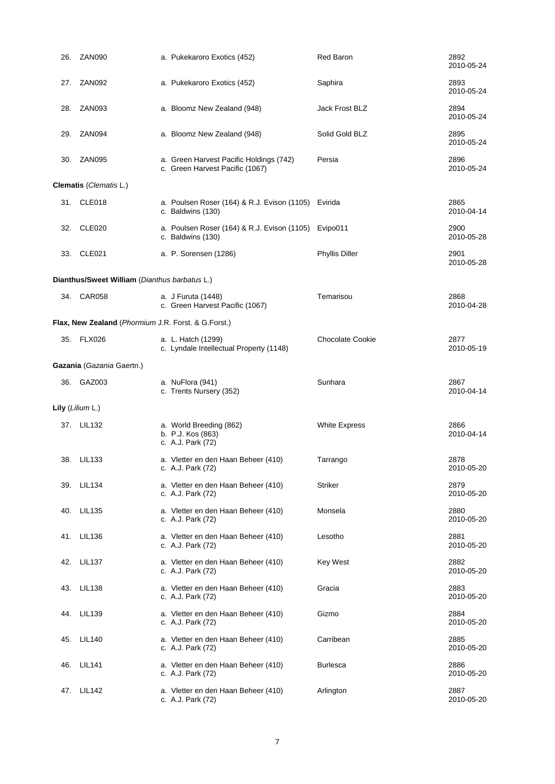| 26. | <b>ZAN090</b>                                       | a. Pukekaroro Exotics (452)                                                | <b>Red Baron</b>        | 2892<br>2010-05-24 |
|-----|-----------------------------------------------------|----------------------------------------------------------------------------|-------------------------|--------------------|
| 27. | ZAN092                                              | a. Pukekaroro Exotics (452)                                                | Saphira                 | 2893<br>2010-05-24 |
| 28. | ZAN <sub>093</sub>                                  | a. Bloomz New Zealand (948)                                                | Jack Frost BLZ          | 2894<br>2010-05-24 |
| 29. | ZAN094                                              | a. Bloomz New Zealand (948)                                                | Solid Gold BLZ          | 2895<br>2010-05-24 |
| 30. | ZAN095                                              | a. Green Harvest Pacific Holdings (742)<br>c. Green Harvest Pacific (1067) | Persia                  | 2896<br>2010-05-24 |
|     | Clematis (Clematis L.)                              |                                                                            |                         |                    |
|     | 31. CLE018                                          | a. Poulsen Roser (164) & R.J. Evison (1105) Evirida<br>c. Baldwins (130)   |                         | 2865<br>2010-04-14 |
| 32. | CLE020                                              | a. Poulsen Roser (164) & R.J. Evison (1105)<br>c. Baldwins (130)           | Evipo011                | 2900<br>2010-05-28 |
| 33. | CLE021                                              | a. P. Sorensen (1286)                                                      | <b>Phyllis Diller</b>   | 2901<br>2010-05-28 |
|     | Dianthus/Sweet William (Dianthus barbatus L.)       |                                                                            |                         |                    |
|     | 34. CAR058                                          | a. J Furuta (1448)<br>c. Green Harvest Pacific (1067)                      | Temarisou               | 2868<br>2010-04-28 |
|     | Flax, New Zealand (Phormium J.R. Forst. & G.Forst.) |                                                                            |                         |                    |
|     | 35. FLX026                                          | a. L. Hatch (1299)<br>c. Lyndale Intellectual Property (1148)              | <b>Chocolate Cookie</b> | 2877<br>2010-05-19 |
|     | Gazania (Gazania Gaertn.)                           |                                                                            |                         |                    |
|     | 36. GAZ003                                          | a. NuFlora (941)<br>c. Trents Nursery (352)                                | Sunhara                 | 2867<br>2010-04-14 |
|     | Lily (Lilium L.)                                    |                                                                            |                         |                    |
|     | 37. LIL132                                          | a. World Breeding (862)<br>b. P.J. Kos (863)<br>c. A.J. Park (72)          | <b>White Express</b>    | 2866<br>2010-04-14 |
|     | 38. LIL133                                          | a. Vletter en den Haan Beheer (410)<br>c. A.J. Park (72)                   | Tarrango                | 2878<br>2010-05-20 |
| 39. | LIL134                                              | a. Vletter en den Haan Beheer (410)<br>c. A.J. Park (72)                   | <b>Striker</b>          | 2879<br>2010-05-20 |
| 40. | <b>LIL135</b>                                       | a. Vletter en den Haan Beheer (410)<br>c. A.J. Park (72)                   | Monsela                 | 2880<br>2010-05-20 |
| 41. | <b>LIL136</b>                                       | a. Vletter en den Haan Beheer (410)<br>c. A.J. Park (72)                   | Lesotho                 | 2881<br>2010-05-20 |
| 42. | <b>LIL137</b>                                       | a. Vletter en den Haan Beheer (410)<br>c. A.J. Park (72)                   | <b>Key West</b>         | 2882<br>2010-05-20 |
| 43. | <b>LIL138</b>                                       | a. Vletter en den Haan Beheer (410)<br>c. A.J. Park (72)                   | Gracia                  | 2883<br>2010-05-20 |
| 44. | <b>LIL139</b>                                       | a. Vletter en den Haan Beheer (410)<br>c. A.J. Park (72)                   | Gizmo                   | 2884<br>2010-05-20 |
| 45. | <b>LIL140</b>                                       | a. Vletter en den Haan Beheer (410)<br>c. A.J. Park (72)                   | Carribean               | 2885<br>2010-05-20 |
| 46. | <b>LIL141</b>                                       | a. Vletter en den Haan Beheer (410)<br>c. A.J. Park (72)                   | <b>Burlesca</b>         | 2886<br>2010-05-20 |
| 47. | <b>LIL142</b>                                       | a. Vletter en den Haan Beheer (410)<br>c. A.J. Park (72)                   | Arlington               | 2887<br>2010-05-20 |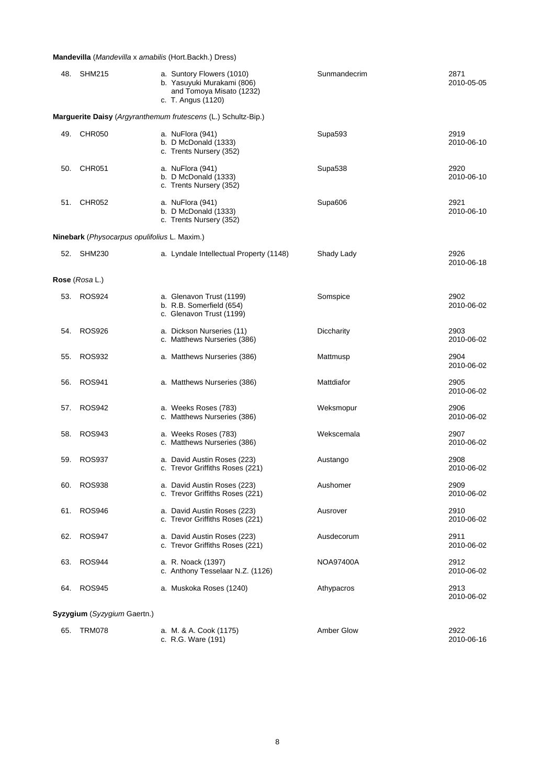## **Mandevilla** (*Mandevilla* x *amabilis* (Hort.Backh.) Dress)

| 48. | <b>SHM215</b>                                | a. Suntory Flowers (1010)<br>b. Yasuyuki Murakami (806)<br>and Tomoya Misato (1232)<br>c. T. Angus (1120) | Sunmandecrim | 2871<br>2010-05-05 |
|-----|----------------------------------------------|-----------------------------------------------------------------------------------------------------------|--------------|--------------------|
|     |                                              | Marguerite Daisy (Argyranthemum frutescens (L.) Schultz-Bip.)                                             |              |                    |
|     | 49. CHR050                                   | a. NuFlora (941)<br>b. D McDonald (1333)<br>c. Trents Nursery (352)                                       | Supa593      | 2919<br>2010-06-10 |
| 50. | <b>CHR051</b>                                | a. NuFlora (941)<br>b. D McDonald $(1333)$<br>c. Trents Nursery (352)                                     | Supa538      | 2920<br>2010-06-10 |
| 51. | <b>CHR052</b>                                | a. NuFlora (941)<br>b. D McDonald (1333)<br>c. Trents Nursery (352)                                       | Supa606      | 2921<br>2010-06-10 |
|     | Ninebark (Physocarpus opulifolius L. Maxim.) |                                                                                                           |              |                    |
|     | 52. SHM230                                   | a. Lyndale Intellectual Property (1148)                                                                   | Shady Lady   | 2926<br>2010-06-18 |
|     | Rose (Rosa L.)                               |                                                                                                           |              |                    |
| 53. | ROS924                                       | a. Glenavon Trust (1199)<br>b. R.B. Somerfield (654)<br>c. Glenavon Trust (1199)                          | Somspice     | 2902<br>2010-06-02 |
| 54. | <b>ROS926</b>                                | a. Dickson Nurseries (11)<br>c. Matthews Nurseries (386)                                                  | Diccharity   | 2903<br>2010-06-02 |
| 55. | <b>ROS932</b>                                | a. Matthews Nurseries (386)                                                                               | Mattmusp     | 2904<br>2010-06-02 |
| 56. | ROS941                                       | a. Matthews Nurseries (386)                                                                               | Mattdiafor   | 2905<br>2010-06-02 |
| 57. | <b>ROS942</b>                                | a. Weeks Roses (783)<br>c. Matthews Nurseries (386)                                                       | Weksmopur    | 2906<br>2010-06-02 |
| 58. | <b>ROS943</b>                                | a. Weeks Roses (783)<br>c. Matthews Nurseries (386)                                                       | Wekscemala   | 2907<br>2010-06-02 |
| 59. | <b>ROS937</b>                                | a. David Austin Roses (223)<br>c. Trevor Griffiths Roses (221)                                            | Austango     | 2908<br>2010-06-02 |
| 60. | ROS938                                       | a. David Austin Roses (223)<br>c. Trevor Griffiths Roses (221)                                            | Aushomer     | 2909<br>2010-06-02 |
| 61. | <b>ROS946</b>                                | a. David Austin Roses (223)<br>c. Trevor Griffiths Roses (221)                                            | Ausrover     | 2910<br>2010-06-02 |
| 62. | <b>ROS947</b>                                | a. David Austin Roses (223)<br>c. Trevor Griffiths Roses (221)                                            | Ausdecorum   | 2911<br>2010-06-02 |
| 63. | <b>ROS944</b>                                | a. R. Noack (1397)<br>c. Anthony Tesselaar N.Z. (1126)                                                    | NOA97400A    | 2912<br>2010-06-02 |
| 64. | <b>ROS945</b>                                | a. Muskoka Roses (1240)                                                                                   | Athypacros   | 2913<br>2010-06-02 |
|     | Syzygium (Syzygium Gaertn.)                  |                                                                                                           |              |                    |
|     | 65. TRM078                                   | a. M. & A. Cook (1175)<br>c. R.G. Ware (191)                                                              | Amber Glow   | 2922<br>2010-06-16 |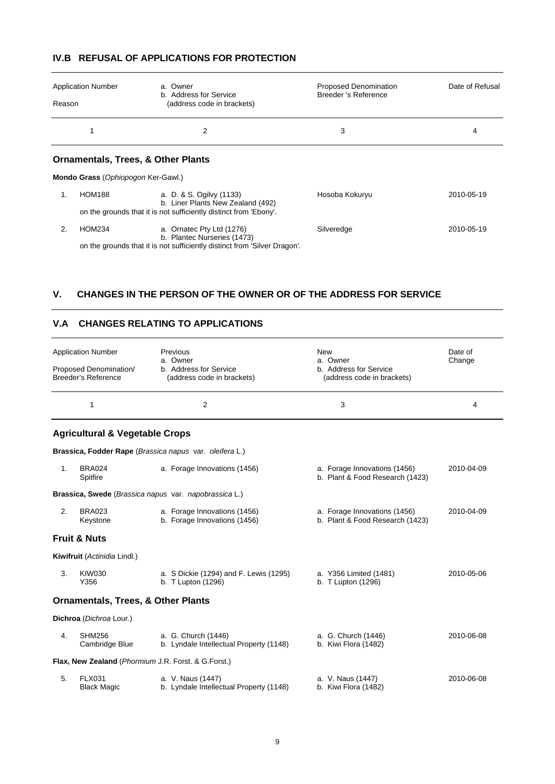# **IV.B REFUSAL OF APPLICATIONS FOR PROTECTION**

| <b>Application Number</b><br>Reason | a. Owner<br>b. Address for Service<br>(address code in brackets)          | <b>Proposed Denomination</b><br>Breeder 's Reference | Date of Refusal |
|-------------------------------------|---------------------------------------------------------------------------|------------------------------------------------------|-----------------|
| 1                                   | 2                                                                         | 3                                                    | 4               |
|                                     | <b>Ornamentals, Trees, &amp; Other Plants</b>                             |                                                      |                 |
|                                     | Mondo Grass (Ophiopogon Ker-Gawl.)                                        |                                                      |                 |
| <b>HOM188</b><br>1.                 | a. D. & S. Ogilvy (1133)<br>b. Liner Plants New Zealand (492)             | Hosoba Kokuryu                                       | 2010-05-19      |
|                                     | on the grounds that it is not sufficiently distinct from 'Ebony'.         |                                                      |                 |
| 2.<br><b>HOM234</b>                 | a. Ornatec Pty Ltd (1276)<br>b. Plantec Nurseries (1473)                  | Silveredge                                           | 2010-05-19      |
|                                     | on the grounds that it is not sufficiently distinct from 'Silver Dragon'. |                                                      |                 |

#### **V. CHANGES IN THE PERSON OF THE OWNER OR OF THE ADDRESS FOR SERVICE**

# **V.A CHANGES RELATING TO APPLICATIONS**

| <b>Application Number</b><br>Proposed Denomination/<br><b>Breeder's Reference</b> |                                               | Previous<br>a. Owner<br>b. Address for Service<br>(address code in brackets) | <b>New</b><br>a. Owner<br>b. Address for Service<br>(address code in brackets) | Date of<br>Change |  |
|-----------------------------------------------------------------------------------|-----------------------------------------------|------------------------------------------------------------------------------|--------------------------------------------------------------------------------|-------------------|--|
|                                                                                   | 1                                             | $\overline{2}$                                                               | 3                                                                              | 4                 |  |
|                                                                                   | <b>Agricultural &amp; Vegetable Crops</b>     |                                                                              |                                                                                |                   |  |
|                                                                                   |                                               | Brassica, Fodder Rape (Brassica napus var. oleifera L.)                      |                                                                                |                   |  |
| 1 <sub>1</sub>                                                                    | <b>BRA024</b><br>Spitfire                     | a. Forage Innovations (1456)                                                 | a. Forage Innovations (1456)<br>b. Plant & Food Research (1423)                | 2010-04-09        |  |
|                                                                                   |                                               | Brassica, Swede (Brassica napus var. napobrassica L.)                        |                                                                                |                   |  |
| 2.                                                                                | <b>BRA023</b><br>Keystone                     | a. Forage Innovations (1456)<br>b. Forage Innovations (1456)                 | a. Forage Innovations (1456)<br>b. Plant & Food Research (1423)                | 2010-04-09        |  |
|                                                                                   | <b>Fruit &amp; Nuts</b>                       |                                                                              |                                                                                |                   |  |
|                                                                                   | Kiwifruit (Actinidia Lindl.)                  |                                                                              |                                                                                |                   |  |
| 3.                                                                                | <b>KIW030</b><br>Y356                         | a. S Dickie (1294) and F. Lewis (1295)<br>b. T Lupton (1296)                 | a. Y356 Limited (1481)<br>b. T Lupton (1296)                                   | 2010-05-06        |  |
|                                                                                   | <b>Ornamentals, Trees, &amp; Other Plants</b> |                                                                              |                                                                                |                   |  |
|                                                                                   | Dichroa (Dichroa Lour.)                       |                                                                              |                                                                                |                   |  |
| 4.                                                                                | <b>SHM256</b><br>Cambridge Blue               | a. G. Church (1446)<br>b. Lyndale Intellectual Property (1148)               | a. G. Church (1446)<br>b. Kiwi Flora (1482)                                    | 2010-06-08        |  |
|                                                                                   |                                               | Flax, New Zealand (Phormium J.R. Forst. & G.Forst.)                          |                                                                                |                   |  |
| 5.                                                                                | <b>FLX031</b><br><b>Black Magic</b>           | a. V. Naus (1447)<br>b. Lyndale Intellectual Property (1148)                 | a. V. Naus (1447)<br>b. Kiwi Flora (1482)                                      | 2010-06-08        |  |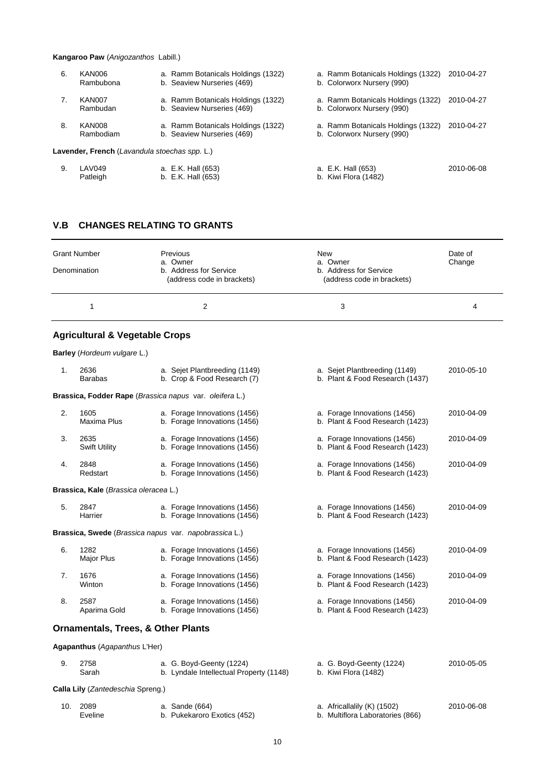#### **Kangaroo Paw** (*Anigozanthos* Labill.)

| 6. | KAN006<br>Rambubona                           | a. Ramm Botanicals Holdings (1322)<br>b. Seaview Nurseries (469) | a. Ramm Botanicals Holdings (1322)<br>b. Colorworx Nursery (990) | 2010-04-27 |
|----|-----------------------------------------------|------------------------------------------------------------------|------------------------------------------------------------------|------------|
|    | KAN007<br>Rambudan                            | a. Ramm Botanicals Holdings (1322)<br>b. Seaview Nurseries (469) | a. Ramm Botanicals Holdings (1322)<br>b. Colorworx Nursery (990) | 2010-04-27 |
| 8. | KAN008<br>Rambodiam                           | a. Ramm Botanicals Holdings (1322)<br>b. Seaview Nurseries (469) | a. Ramm Botanicals Holdings (1322)<br>b. Colorworx Nursery (990) | 2010-04-27 |
|    | Lavender, French (Lavandula stoechas spp. L.) |                                                                  |                                                                  |            |
| 9. | LAV049                                        | a. E.K. Hall (653)                                               | a. E.K. Hall (653)                                               | 2010-06-08 |

Patleigh b. E.K. Hall (653) b. Kiwi Flora (1482)

# **V.B CHANGES RELATING TO GRANTS**

| <b>Grant Number</b> | <b>Previous</b><br>a. Owner                          | <b>New</b><br>a. Owner                               | Date of<br>Change |
|---------------------|------------------------------------------------------|------------------------------------------------------|-------------------|
| Denomination        | b. Address for Service<br>(address code in brackets) | b. Address for Service<br>(address code in brackets) |                   |
|                     |                                                      | 3                                                    | 4                 |

# **Agricultural & Vegetable Crops**

|     | Barley (Hordeum vulgare L.)                   |                                                                     |                                                                  |            |
|-----|-----------------------------------------------|---------------------------------------------------------------------|------------------------------------------------------------------|------------|
| 1.  | 2636<br><b>Barabas</b>                        | a. Sejet Plantbreeding (1149)<br>b. Crop & Food Research (7)        | a. Sejet Plantbreeding (1149)<br>b. Plant & Food Research (1437) | 2010-05-10 |
|     |                                               | Brassica, Fodder Rape (Brassica napus var. oleifera L.)             |                                                                  |            |
| 2.  | 1605<br><b>Maxima Plus</b>                    | a. Forage Innovations (1456)<br>b. Forage Innovations (1456)        | a. Forage Innovations (1456)<br>b. Plant & Food Research (1423)  | 2010-04-09 |
| 3.  | 2635<br><b>Swift Utility</b>                  | a. Forage Innovations (1456)<br>b. Forage Innovations (1456)        | a. Forage Innovations (1456)<br>b. Plant & Food Research (1423)  | 2010-04-09 |
| 4.  | 2848<br>Redstart                              | a. Forage Innovations (1456)<br>b. Forage Innovations (1456)        | a. Forage Innovations (1456)<br>b. Plant & Food Research (1423)  | 2010-04-09 |
|     | Brassica, Kale (Brassica oleracea L.)         |                                                                     |                                                                  |            |
| 5.  | 2847<br>Harrier                               | a. Forage Innovations (1456)<br>b. Forage Innovations (1456)        | a. Forage Innovations (1456)<br>b. Plant & Food Research (1423)  | 2010-04-09 |
|     |                                               | Brassica, Swede (Brassica napus var. napobrassica L.)               |                                                                  |            |
| 6.  | 1282<br>Major Plus                            | a. Forage Innovations (1456)<br>b. Forage Innovations (1456)        | a. Forage Innovations (1456)<br>b. Plant & Food Research (1423)  | 2010-04-09 |
| 7.  | 1676<br>Winton                                | a. Forage Innovations (1456)<br>b. Forage Innovations (1456)        | a. Forage Innovations (1456)<br>b. Plant & Food Research (1423)  | 2010-04-09 |
| 8.  | 2587<br>Aparima Gold                          | a. Forage Innovations (1456)<br>b. Forage Innovations (1456)        | a. Forage Innovations (1456)<br>b. Plant & Food Research (1423)  | 2010-04-09 |
|     | <b>Ornamentals, Trees, &amp; Other Plants</b> |                                                                     |                                                                  |            |
|     | Agapanthus (Agapanthus L'Her)                 |                                                                     |                                                                  |            |
| 9.  | 2758<br>Sarah                                 | a. G. Boyd-Geenty (1224)<br>b. Lyndale Intellectual Property (1148) | a. G. Boyd-Geenty (1224)<br>b. Kiwi Flora (1482)                 | 2010-05-05 |
|     | Calla Lily (Zantedeschia Spreng.)             |                                                                     |                                                                  |            |
| 10. | 2089<br>Eveline                               | a. Sande (664)<br>b. Pukekaroro Exotics (452)                       | a. Africallalily (K) (1502)<br>b. Multiflora Laboratories (866)  | 2010-06-08 |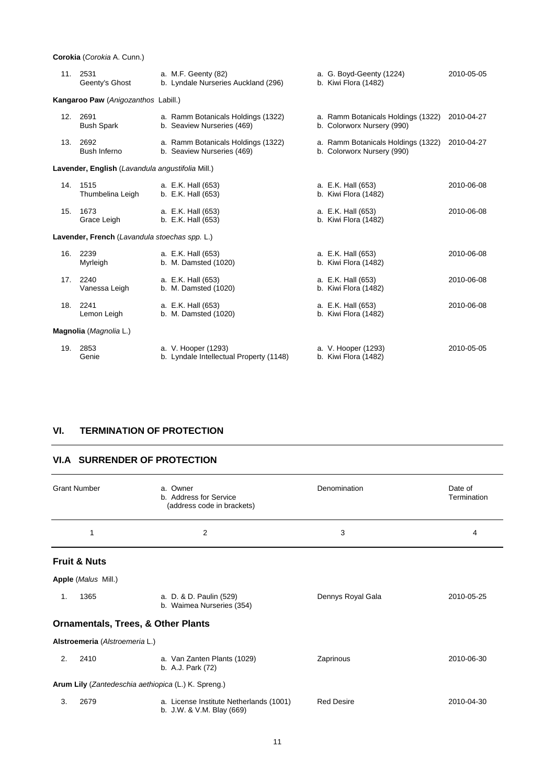**Corokia** (*Corokia* A. Cunn.)

|     | 11. 2531<br>Geenty's Ghost                       | a. M.F. Geenty (82)<br>b. Lyndale Nurseries Auckland (296)       | a. G. Boyd-Geenty (1224)<br>b. Kiwi Flora (1482)                 | 2010-05-05 |
|-----|--------------------------------------------------|------------------------------------------------------------------|------------------------------------------------------------------|------------|
|     | Kangaroo Paw (Anigozanthos Labill.)              |                                                                  |                                                                  |            |
| 12. | 2691<br><b>Bush Spark</b>                        | a. Ramm Botanicals Holdings (1322)<br>b. Seaview Nurseries (469) | a. Ramm Botanicals Holdings (1322)<br>b. Colorworx Nursery (990) | 2010-04-27 |
| 13. | 2692<br>Bush Inferno                             | a. Ramm Botanicals Holdings (1322)<br>b. Seaview Nurseries (469) | a. Ramm Botanicals Holdings (1322)<br>b. Colorworx Nursery (990) | 2010-04-27 |
|     | Lavender, English (Lavandula angustifolia Mill.) |                                                                  |                                                                  |            |
| 14. | 1515<br>Thumbelina Leigh                         | a. E.K. Hall (653)<br>b. E.K. Hall (653)                         | a. E.K. Hall (653)<br>b. Kiwi Flora (1482)                       | 2010-06-08 |
| 15. | 1673<br>Grace Leigh                              | a. E.K. Hall (653)<br>b. E.K. Hall (653)                         | a. E.K. Hall (653)<br>b. Kiwi Flora (1482)                       | 2010-06-08 |
|     | Lavender, French (Lavandula stoechas spp. L.)    |                                                                  |                                                                  |            |
|     | 16. 2239<br>Myrleigh                             | a. E.K. Hall (653)<br>b. M. Damsted (1020)                       | a. E.K. Hall (653)<br>b. Kiwi Flora (1482)                       | 2010-06-08 |
| 17. | 2240<br>Vanessa Leigh                            | a. E.K. Hall (653)<br>b. M. Damsted (1020)                       | a. E.K. Hall (653)<br>b. Kiwi Flora (1482)                       | 2010-06-08 |
|     | 18. 2241<br>Lemon Leigh                          | a. E.K. Hall (653)<br>b. M. Damsted (1020)                       | a. E.K. Hall (653)<br>b. Kiwi Flora (1482)                       | 2010-06-08 |
|     | Magnolia (Magnolia L.)                           |                                                                  |                                                                  |            |
|     | 19. 2853<br>Genie                                | a. V. Hooper (1293)<br>b. Lyndale Intellectual Property (1148)   | a. V. Hooper (1293)<br>b. Kiwi Flora (1482)                      | 2010-05-05 |

# **VI. TERMINATION OF PROTECTION**

# **VI.A SURRENDER OF PROTECTION**

| <b>Grant Number</b>     |                                                     | a. Owner<br>b. Address for Service<br>(address code in brackets)     | Denomination      | Date of<br>Termination |
|-------------------------|-----------------------------------------------------|----------------------------------------------------------------------|-------------------|------------------------|
|                         | 1                                                   | 2                                                                    | 3                 | 4                      |
| <b>Fruit &amp; Nuts</b> |                                                     |                                                                      |                   |                        |
|                         | Apple (Malus Mill.)                                 |                                                                      |                   |                        |
| 1.                      | 1365                                                | a. D. & D. Paulin (529)<br>b. Waimea Nurseries (354)                 | Dennys Royal Gala | 2010-05-25             |
|                         | <b>Ornamentals, Trees, &amp; Other Plants</b>       |                                                                      |                   |                        |
|                         | Alstroemeria (Alstroemeria L.)                      |                                                                      |                   |                        |
| 2.                      | 2410                                                | a. Van Zanten Plants (1029)<br>b. A.J. Park (72)                     | Zaprinous         | 2010-06-30             |
|                         | Arum Lily (Zantedeschia aethiopica (L.) K. Spreng.) |                                                                      |                   |                        |
| 3.                      | 2679                                                | a. License Institute Netherlands (1001)<br>b. J.W. & V.M. Blay (669) | <b>Red Desire</b> | 2010-04-30             |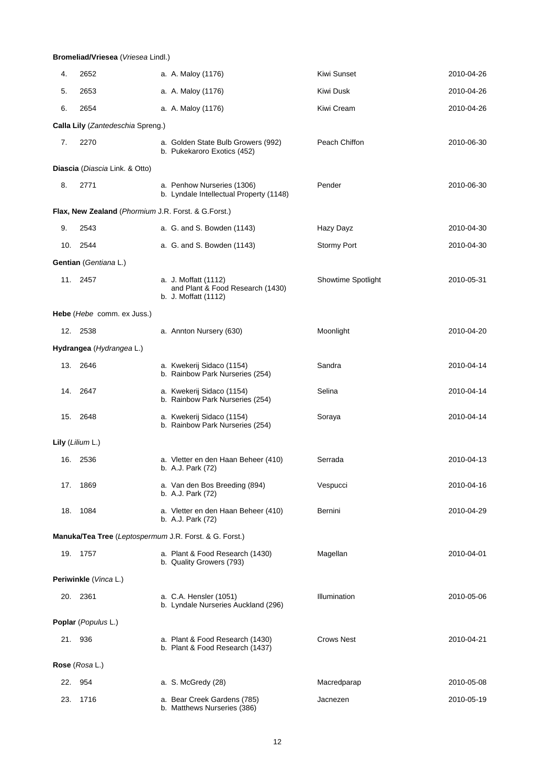#### **Bromeliad/Vriesea** (*Vriesea* Lindl.)

| 4.  | 2652                                                   | a. A. Maloy (1176)                                                               | Kiwi Sunset               | 2010-04-26 |
|-----|--------------------------------------------------------|----------------------------------------------------------------------------------|---------------------------|------------|
| 5.  | 2653                                                   | a. A. Maloy (1176)                                                               | Kiwi Dusk                 | 2010-04-26 |
| 6.  | 2654                                                   | a. A. Maloy (1176)                                                               | Kiwi Cream                | 2010-04-26 |
|     | Calla Lily (Zantedeschia Spreng.)                      |                                                                                  |                           |            |
| 7.  | 2270                                                   | a. Golden State Bulb Growers (992)<br>b. Pukekaroro Exotics (452)                | Peach Chiffon             | 2010-06-30 |
|     | Diascia (Diascia Link. & Otto)                         |                                                                                  |                           |            |
| 8.  | 2771                                                   | a. Penhow Nurseries (1306)<br>b. Lyndale Intellectual Property (1148)            | Pender                    | 2010-06-30 |
|     | Flax, New Zealand (Phormium J.R. Forst. & G.Forst.)    |                                                                                  |                           |            |
| 9.  | 2543                                                   | a. G. and S. Bowden (1143)                                                       | Hazy Dayz                 | 2010-04-30 |
|     | 10. 2544                                               | a. G. and S. Bowden (1143)                                                       | <b>Stormy Port</b>        | 2010-04-30 |
|     | Gentian (Gentiana L.)                                  |                                                                                  |                           |            |
|     | 11. 2457                                               | a. J. Moffatt (1112)<br>and Plant & Food Research (1430)<br>b. J. Moffatt (1112) | <b>Showtime Spotlight</b> | 2010-05-31 |
|     | <b>Hebe</b> ( <i>Hebe</i> comm. ex Juss.)              |                                                                                  |                           |            |
|     | 12. 2538                                               | a. Annton Nursery (630)                                                          | Moonlight                 | 2010-04-20 |
|     | Hydrangea (Hydrangea L.)                               |                                                                                  |                           |            |
|     | 13. 2646                                               | a. Kwekerij Sidaco (1154)<br>b. Rainbow Park Nurseries (254)                     | Sandra                    | 2010-04-14 |
|     | 14. 2647                                               | a. Kwekerij Sidaco (1154)<br>b. Rainbow Park Nurseries (254)                     | Selina                    | 2010-04-14 |
|     | 15. 2648                                               | a. Kwekerij Sidaco (1154)<br>b. Rainbow Park Nurseries (254)                     | Soraya                    | 2010-04-14 |
|     | Lily (Lilium L.)                                       |                                                                                  |                           |            |
|     | 16. 2536                                               | a. Vletter en den Haan Beheer (410)<br>b. A.J. Park (72)                         | Serrada                   | 2010-04-13 |
|     | 17. 1869                                               | a. Van den Bos Breeding (894)<br>b. A.J. Park (72)                               | Vespucci                  | 2010-04-16 |
|     | 18. 1084                                               | a. Vletter en den Haan Beheer (410)<br>b. A.J. Park (72)                         | Bernini                   | 2010-04-29 |
|     | Manuka/Tea Tree (Leptospermum J.R. Forst. & G. Forst.) |                                                                                  |                           |            |
|     | 19. 1757                                               | a. Plant & Food Research (1430)<br>b. Quality Growers (793)                      | Magellan                  | 2010-04-01 |
|     | Periwinkle (Vinca L.)                                  |                                                                                  |                           |            |
|     | 20. 2361                                               | a. C.A. Hensler (1051)<br>b. Lyndale Nurseries Auckland (296)                    | Illumination              | 2010-05-06 |
|     | Poplar (Populus L.)                                    |                                                                                  |                           |            |
|     | 21. 936                                                | a. Plant & Food Research (1430)<br>b. Plant & Food Research (1437)               | <b>Crows Nest</b>         | 2010-04-21 |
|     | Rose (Rosa L.)                                         |                                                                                  |                           |            |
| 22. | 954                                                    | a. S. McGredy (28)                                                               | Macredparap               | 2010-05-08 |
| 23. | 1716                                                   | a. Bear Creek Gardens (785)<br>b. Matthews Nurseries (386)                       | Jacnezen                  | 2010-05-19 |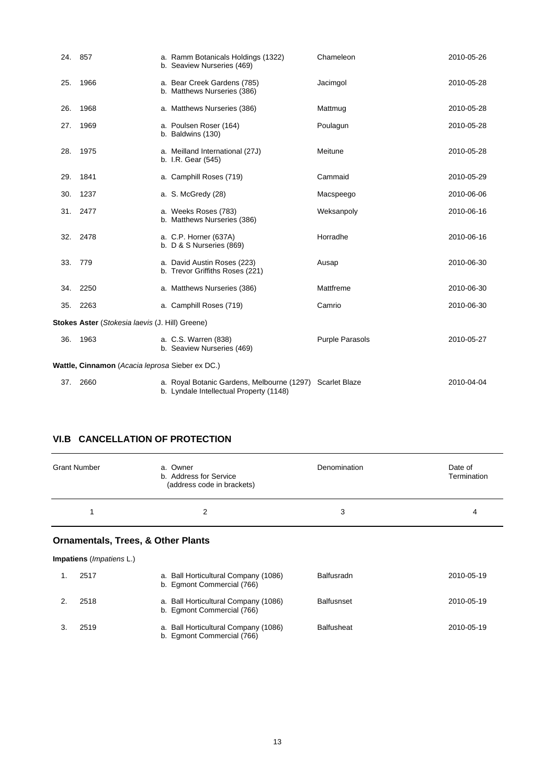| 24. 857 |                                                 | a. Ramm Botanicals Holdings (1322)<br>b. Seaview Nurseries (469)                                    | Chameleon              | 2010-05-26 |
|---------|-------------------------------------------------|-----------------------------------------------------------------------------------------------------|------------------------|------------|
| 25.     | 1966                                            | a. Bear Creek Gardens (785)<br>b. Matthews Nurseries (386)                                          | Jacimgol               | 2010-05-28 |
| 26.     | 1968                                            | a. Matthews Nurseries (386)                                                                         | Mattmug                | 2010-05-28 |
| 27.     | 1969                                            | a. Poulsen Roser (164)<br>b. Baldwins (130)                                                         | Poulagun               | 2010-05-28 |
| 28.     | 1975                                            | a. Meilland International (27J)<br>b. I.R. Gear (545)                                               | Meitune                | 2010-05-28 |
| 29.     | 1841                                            | a. Camphill Roses (719)                                                                             | Cammaid                | 2010-05-29 |
| 30.     | 1237                                            | a. S. McGredy (28)                                                                                  | Macspeego              | 2010-06-06 |
| 31.     | 2477                                            | a. Weeks Roses (783)<br>b. Matthews Nurseries (386)                                                 | Weksanpoly             | 2010-06-16 |
| 32.     | 2478                                            | a. C.P. Horner (637A)<br>b. $D & S$ Nurseries (869)                                                 | Horradhe               | 2010-06-16 |
| 33.     | 779                                             | a. David Austin Roses (223)<br>b. Trevor Griffiths Roses (221)                                      | Ausap                  | 2010-06-30 |
| 34.     | 2250                                            | a. Matthews Nurseries (386)                                                                         | Mattfreme              | 2010-06-30 |
| 35.     | 2263                                            | a. Camphill Roses (719)                                                                             | Camrio                 | 2010-06-30 |
|         | Stokes Aster (Stokesia laevis (J. Hill) Greene) |                                                                                                     |                        |            |
| 36.     | 1963                                            | a. C.S. Warren (838)<br>b. Seaview Nurseries (469)                                                  | <b>Purple Parasols</b> | 2010-05-27 |
|         | Wattle, Cinnamon (Acacia leprosa Sieber ex DC.) |                                                                                                     |                        |            |
| 37.     | 2660                                            | a. Royal Botanic Gardens, Melbourne (1297) Scarlet Blaze<br>b. Lyndale Intellectual Property (1148) |                        | 2010-04-04 |

# **VI.B CANCELLATION OF PROTECTION**

| a. Owner<br>b. Address for Service<br>(address code in brackets) | Denomination | Date of<br>Termination |
|------------------------------------------------------------------|--------------|------------------------|
|                                                                  | 3            | 4                      |
|                                                                  |              |                        |

# **Ornamentals, Trees, & Other Plants**

| <b>Impatiens</b> ( <i>Impatiens</i> L.) |                                                                    |                   |            |
|-----------------------------------------|--------------------------------------------------------------------|-------------------|------------|
| 2517                                    | a. Ball Horticultural Company (1086)<br>b. Egmont Commercial (766) | Balfusradn        | 2010-05-19 |
| 2518                                    | a. Ball Horticultural Company (1086)<br>b. Egmont Commercial (766) | <b>Balfusnset</b> | 2010-05-19 |
| 2519                                    | a. Ball Horticultural Company (1086)<br>b. Eqmont Commercial (766) | <b>Balfusheat</b> | 2010-05-19 |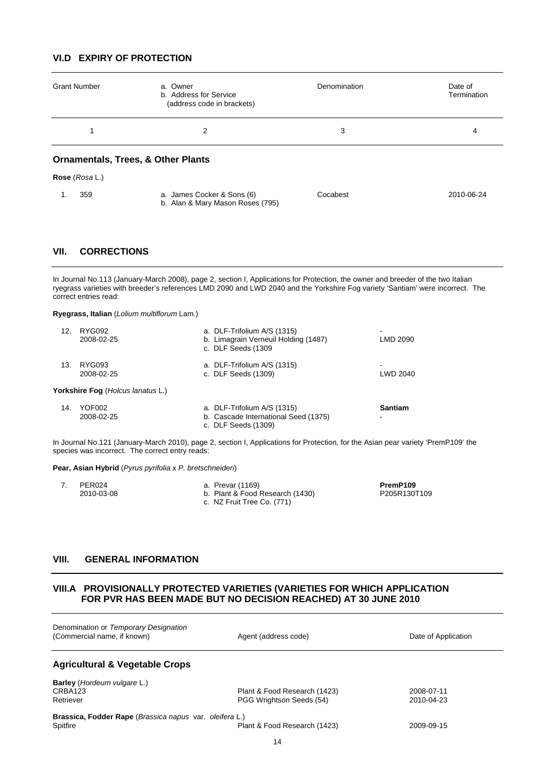# **VI.D EXPIRY OF PROTECTION**

| <b>Grant Number</b> | a. Owner<br>b. Address for Service<br>(address code in brackets) | Denomination | Date of<br>Termination |
|---------------------|------------------------------------------------------------------|--------------|------------------------|
|                     | 2                                                                | 3            | 4                      |
|                     | <b>Ornamentals, Trees, &amp; Other Plants</b>                    |              |                        |
| Rose (Rosa L.)      |                                                                  |              |                        |
| 359<br>1.           | a. James Cocker & Sons (6)<br>b. Alan & Mary Mason Roses (795)   | Cocabest     | 2010-06-24             |

# **VII. CORRECTIONS**

In Journal No.113 (January-March 2008), page 2, section I, Applications for Protection, the owner and breeder of the two Italian ryegrass varieties with breeder's references LMD 2090 and LWD 2040 and the Yorkshire Fog variety 'Santiam' were incorrect. The correct entries read:

**Ryegrass, Italian** (*Lolium multiflorum* Lam.)

| 12. | RYG092<br>2008-02-25              | a. DLF-Trifolium A/S (1315)<br>b. Limagrain Verneuil Holding (1487)<br>c. DLF Seeds (1309  | -<br>LMD 2090       |
|-----|-----------------------------------|--------------------------------------------------------------------------------------------|---------------------|
| 13. | RYG093<br>2008-02-25              | a. DLF-Trifolium A/S (1315)<br>c. DLF Seeds (1309)                                         | $\,$<br>LWD 2040    |
|     | Yorkshire Fog (Holcus lanatus L.) |                                                                                            |                     |
| 14. | YOF002<br>2008-02-25              | a. DLF-Trifolium A/S (1315)<br>b. Cascade International Seed (1375)<br>c. DLF Seeds (1309) | <b>Santiam</b><br>٠ |

In Journal No.121 (January-March 2010), page 2, section I, Applications for Protection, for the Asian pear variety 'PremP109' the species was incorrect. The correct entry reads:

**Pear, Asian Hybrid** (*Pyrus pyrifolia* x *P. bretschneideri*)

| PER024     | a. Prevar (1169)                | PremP109     |
|------------|---------------------------------|--------------|
| 2010-03-08 | b. Plant & Food Research (1430) | P205R130T109 |
|            | c. NZ Fruit Tree Co. (771)      |              |

#### **VIII. GENERAL INFORMATION**

#### **VIII.A PROVISIONALLY PROTECTED VARIETIES (VARIETIES FOR WHICH APPLICATION FOR PVR HAS BEEN MADE BUT NO DECISION REACHED) AT 30 JUNE 2010**

| Denomination or Temporary Designation<br>(Commercial name, if known) | Agent (address code)                                     | Date of Application      |
|----------------------------------------------------------------------|----------------------------------------------------------|--------------------------|
| <b>Agricultural &amp; Vegetable Crops</b>                            |                                                          |                          |
| <b>Barley</b> ( <i>Hordeum vulgare L.</i> )<br>CRBA123<br>Retriever  | Plant & Food Research (1423)<br>PGG Wrightson Seeds (54) | 2008-07-11<br>2010-04-23 |
| Brassica, Fodder Rape (Brassica napus var. oleifera L.)<br>Spitfire  | Plant & Food Research (1423)                             | 2009-09-15               |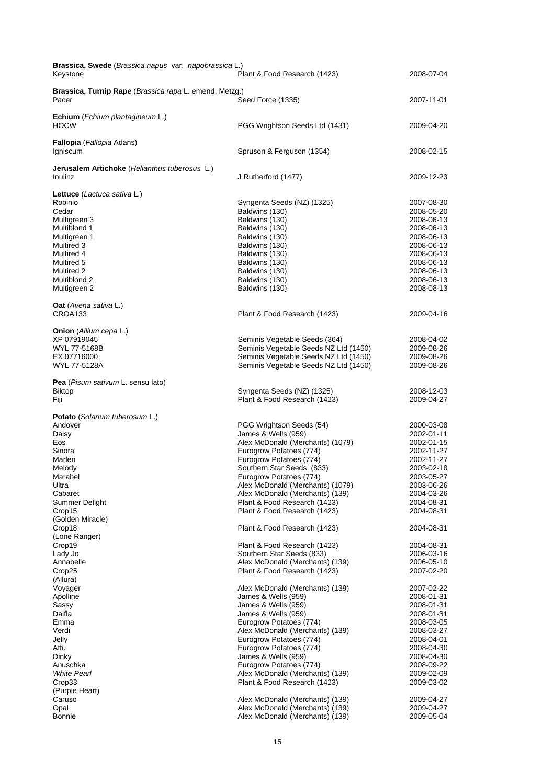| Brassica, Swede (Brassica napus var. napobrassica L.)<br>Keystone                                                                                                                              | Plant & Food Research (1423)                                                                                                                                                                                                                                                                                                                                                                                                                           | 2008-07-04                                                                                                                                                                                                     |
|------------------------------------------------------------------------------------------------------------------------------------------------------------------------------------------------|--------------------------------------------------------------------------------------------------------------------------------------------------------------------------------------------------------------------------------------------------------------------------------------------------------------------------------------------------------------------------------------------------------------------------------------------------------|----------------------------------------------------------------------------------------------------------------------------------------------------------------------------------------------------------------|
| Brassica, Turnip Rape (Brassica rapa L. emend. Metzg.)<br>Pacer                                                                                                                                | Seed Force (1335)                                                                                                                                                                                                                                                                                                                                                                                                                                      | 2007-11-01                                                                                                                                                                                                     |
| Echium (Echium plantagineum L.)<br><b>HOCW</b>                                                                                                                                                 | PGG Wrightson Seeds Ltd (1431)                                                                                                                                                                                                                                                                                                                                                                                                                         | 2009-04-20                                                                                                                                                                                                     |
| Fallopia (Fallopia Adans)<br>Igniscum                                                                                                                                                          | Spruson & Ferguson (1354)                                                                                                                                                                                                                                                                                                                                                                                                                              | 2008-02-15                                                                                                                                                                                                     |
| Jerusalem Artichoke (Helianthus tuberosus L.)<br>Inulinz                                                                                                                                       | J Rutherford (1477)                                                                                                                                                                                                                                                                                                                                                                                                                                    | 2009-12-23                                                                                                                                                                                                     |
| Lettuce (Lactuca sativa L.)<br>Robinio<br>Cedar<br>Multigreen 3<br>Multiblond 1<br>Multigreen 1<br>Multired 3<br>Multired 4<br>Multired 5<br>Multired 2<br>Multiblond 2<br>Multigreen 2        | Syngenta Seeds (NZ) (1325)<br>Baldwins (130)<br>Baldwins (130)<br>Baldwins (130)<br>Baldwins (130)<br>Baldwins (130)<br>Baldwins (130)<br>Baldwins (130)<br>Baldwins (130)<br>Baldwins (130)<br>Baldwins (130)                                                                                                                                                                                                                                         | 2007-08-30<br>2008-05-20<br>2008-06-13<br>2008-06-13<br>2008-06-13<br>2008-06-13<br>2008-06-13<br>2008-06-13<br>2008-06-13<br>2008-06-13<br>2008-08-13                                                         |
| <b>Oat</b> (Avena sativa L.)<br>CROA133                                                                                                                                                        | Plant & Food Research (1423)                                                                                                                                                                                                                                                                                                                                                                                                                           | 2009-04-16                                                                                                                                                                                                     |
| Onion (Allium cepa L.)<br>XP 07919045<br>WYL 77-5168B<br>EX 07716000<br>WYL 77-5128A<br>Pea (Pisum sativum L. sensu lato)                                                                      | Seminis Vegetable Seeds (364)<br>Seminis Vegetable Seeds NZ Ltd (1450)<br>Seminis Vegetable Seeds NZ Ltd (1450)<br>Seminis Vegetable Seeds NZ Ltd (1450)                                                                                                                                                                                                                                                                                               | 2008-04-02<br>2009-08-26<br>2009-08-26<br>2009-08-26                                                                                                                                                           |
| <b>Biktop</b><br>Fiji                                                                                                                                                                          | Syngenta Seeds (NZ) (1325)<br>Plant & Food Research (1423)                                                                                                                                                                                                                                                                                                                                                                                             | 2008-12-03<br>2009-04-27                                                                                                                                                                                       |
| Potato (Solanum tuberosum L.)<br>Andover<br>Daisy<br>Eos<br>Sinora<br>Marlen<br>Melody<br>Marabel<br>Ultra<br>Cabaret<br>Summer Delight<br>Crop15<br>(Golden Miracle)                          | PGG Wrightson Seeds (54)<br>James & Wells (959)<br>Alex McDonald (Merchants) (1079)<br>Eurogrow Potatoes (774)<br>Eurogrow Potatoes (774)<br>Southern Star Seeds (833)<br>Eurogrow Potatoes (774)<br>Alex McDonald (Merchants) (1079)<br>Alex McDonald (Merchants) (139)<br>Plant & Food Research (1423)<br>Plant & Food Research (1423)                                                                                                               | 2000-03-08<br>2002-01-11<br>2002-01-15<br>2002-11-27<br>2002-11-27<br>2003-02-18<br>2003-05-27<br>2003-06-26<br>2004-03-26<br>2004-08-31<br>2004-08-31                                                         |
| Crop18<br>(Lone Ranger)<br>Crop19<br>Lady Jo<br>Annabelle<br>Crop <sub>25</sub>                                                                                                                | Plant & Food Research (1423)<br>Plant & Food Research (1423)<br>Southern Star Seeds (833)<br>Alex McDonald (Merchants) (139)<br>Plant & Food Research (1423)                                                                                                                                                                                                                                                                                           | 2004-08-31<br>2004-08-31<br>2006-03-16<br>2006-05-10<br>2007-02-20                                                                                                                                             |
| (Allura)<br>Voyager<br>Apolline<br>Sassy<br>Daifla<br>Emma<br>Verdi<br>Jelly<br>Attu<br>Dinky<br>Anuschka<br><b>White Pearl</b><br>Crop33<br>(Purple Heart)<br>Caruso<br>Opal<br><b>Bonnie</b> | Alex McDonald (Merchants) (139)<br>James & Wells (959)<br>James & Wells (959)<br>James & Wells (959)<br>Eurogrow Potatoes (774)<br>Alex McDonald (Merchants) (139)<br>Eurogrow Potatoes (774)<br>Eurogrow Potatoes (774)<br>James & Wells (959)<br>Eurogrow Potatoes (774)<br>Alex McDonald (Merchants) (139)<br>Plant & Food Research (1423)<br>Alex McDonald (Merchants) (139)<br>Alex McDonald (Merchants) (139)<br>Alex McDonald (Merchants) (139) | 2007-02-22<br>2008-01-31<br>2008-01-31<br>2008-01-31<br>2008-03-05<br>2008-03-27<br>2008-04-01<br>2008-04-30<br>2008-04-30<br>2008-09-22<br>2009-02-09<br>2009-03-02<br>2009-04-27<br>2009-04-27<br>2009-05-04 |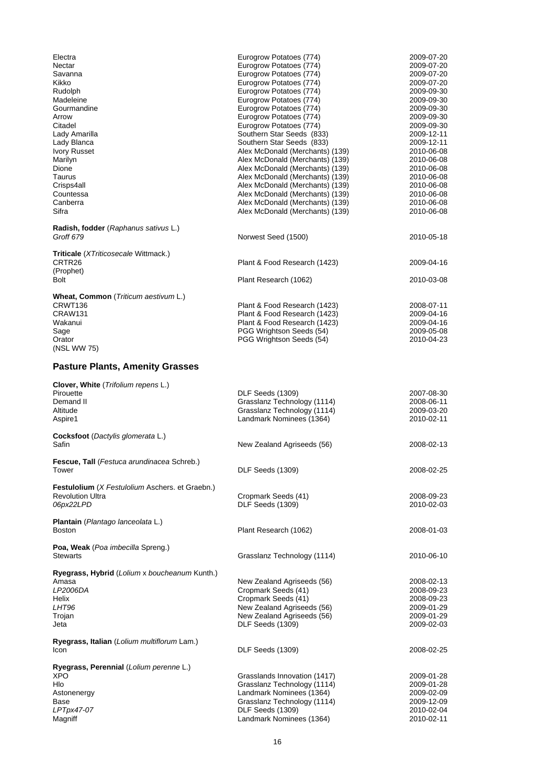| Electra                                                   | Eurogrow Potatoes (774)                                            | 2009-07-20                             |
|-----------------------------------------------------------|--------------------------------------------------------------------|----------------------------------------|
| Nectar                                                    | Eurogrow Potatoes (774)                                            | 2009-07-20                             |
| Savanna                                                   | Eurogrow Potatoes (774)                                            | 2009-07-20                             |
| Kikko<br>Rudolph                                          | Eurogrow Potatoes (774)<br>Eurogrow Potatoes (774)                 | 2009-07-20                             |
| Madeleine                                                 | Eurogrow Potatoes (774)                                            | 2009-09-30<br>2009-09-30               |
| Gourmandine                                               | Eurogrow Potatoes (774)                                            | 2009-09-30                             |
| Arrow                                                     | Eurogrow Potatoes (774)                                            | 2009-09-30                             |
| Citadel                                                   | Eurogrow Potatoes (774)                                            | 2009-09-30                             |
| Lady Amarilla                                             | Southern Star Seeds (833)                                          | 2009-12-11                             |
| Lady Blanca                                               | Southern Star Seeds (833)                                          | 2009-12-11                             |
| <b>Ivory Russet</b>                                       | Alex McDonald (Merchants) (139)                                    | 2010-06-08                             |
| Marilyn<br>Dione                                          | Alex McDonald (Merchants) (139)<br>Alex McDonald (Merchants) (139) | 2010-06-08<br>2010-06-08               |
| Taurus                                                    | Alex McDonald (Merchants) (139)                                    | 2010-06-08                             |
| Crisps4all                                                | Alex McDonald (Merchants) (139)                                    | 2010-06-08                             |
| Countessa                                                 | Alex McDonald (Merchants) (139)                                    | 2010-06-08                             |
| Canberra                                                  | Alex McDonald (Merchants) (139)                                    | 2010-06-08                             |
| Sifra                                                     | Alex McDonald (Merchants) (139)                                    | 2010-06-08                             |
| Radish, fodder (Raphanus sativus L.)                      |                                                                    |                                        |
| Groff 679                                                 | Norwest Seed (1500)                                                | 2010-05-18                             |
|                                                           |                                                                    |                                        |
| Triticale (XTriticosecale Wittmack.)                      |                                                                    |                                        |
| CRTR <sub>26</sub>                                        | Plant & Food Research (1423)                                       | 2009-04-16                             |
| (Prophet)<br>Bolt                                         |                                                                    | 2010-03-08                             |
|                                                           | Plant Research (1062)                                              |                                        |
| Wheat, Common (Triticum aestivum L.)                      |                                                                    |                                        |
| CRWT136                                                   | Plant & Food Research (1423)                                       | 2008-07-11                             |
| CRAW131                                                   | Plant & Food Research (1423)                                       | 2009-04-16                             |
| Wakanui                                                   | Plant & Food Research (1423)                                       | 2009-04-16                             |
| Sage                                                      | PGG Wrightson Seeds (54)                                           | 2009-05-08                             |
| Orator<br>(NSL WW 75)                                     | PGG Wrightson Seeds (54)                                           | 2010-04-23                             |
|                                                           |                                                                    |                                        |
| <b>Pasture Plants, Amenity Grasses</b>                    |                                                                    |                                        |
| Clover, White (Trifolium repens L.)                       |                                                                    |                                        |
| Pirouette                                                 |                                                                    |                                        |
|                                                           | DLF Seeds (1309)                                                   | 2007-08-30                             |
| Demand II                                                 | Grasslanz Technology (1114)                                        | 2008-06-11                             |
| Altitude                                                  | Grasslanz Technology (1114)                                        | 2009-03-20                             |
| Aspire1                                                   | Landmark Nominees (1364)                                           | 2010-02-11                             |
| Cocksfoot (Dactylis glomerata L.)                         |                                                                    |                                        |
| Safin                                                     | New Zealand Agriseeds (56)                                         | 2008-02-13                             |
|                                                           |                                                                    |                                        |
| <b>Fescue, Tall</b> ( <i>Festuca arundinacea</i> Schreb.) |                                                                    |                                        |
| Tower                                                     | DLF Seeds (1309)                                                   | 2008-02-25                             |
| Festulolium (X Festulolium Aschers. et Graebn.)           |                                                                    |                                        |
| <b>Revolution Ultra</b>                                   | Cropmark Seeds (41)                                                | 2008-09-23                             |
| 06px22LPD                                                 | DLF Seeds (1309)                                                   | 2010-02-03                             |
|                                                           |                                                                    |                                        |
| Plantain (Plantago lanceolata L.)                         |                                                                    |                                        |
| <b>Boston</b>                                             | Plant Research (1062)                                              | 2008-01-03                             |
| Poa, Weak (Poa imbecilla Spreng.)                         |                                                                    |                                        |
| <b>Stewarts</b>                                           | Grasslanz Technology (1114)                                        | 2010-06-10                             |
|                                                           |                                                                    |                                        |
| Ryegrass, Hybrid (Lolium x boucheanum Kunth.)             |                                                                    |                                        |
| Amasa                                                     | New Zealand Agriseeds (56)                                         |                                        |
| LP2006DA<br>Helix                                         | Cropmark Seeds (41)                                                | 2008-02-13<br>2008-09-23<br>2008-09-23 |
| LHT96                                                     | Cropmark Seeds (41)<br>New Zealand Agriseeds (56)                  | 2009-01-29                             |
| Trojan                                                    | New Zealand Agriseeds (56)                                         | 2009-01-29                             |
| Jeta                                                      | DLF Seeds (1309)                                                   | 2009-02-03                             |
|                                                           |                                                                    |                                        |
| Ryegrass, Italian (Lolium multiflorum Lam.)<br>Icon       | DLF Seeds (1309)                                                   | 2008-02-25                             |
|                                                           |                                                                    |                                        |
| Ryegrass, Perennial (Lolium perenne L.)                   |                                                                    |                                        |
| <b>XPO</b>                                                | Grasslands Innovation (1417)                                       | 2009-01-28                             |
| Hlo                                                       | Grasslanz Technology (1114)                                        | 2009-01-28                             |
| Astonenergy<br>Base                                       | Landmark Nominees (1364)                                           | 2009-02-09                             |
| LPTpx47-07                                                | Grasslanz Technology (1114)<br>DLF Seeds (1309)                    | 2009-12-09<br>2010-02-04               |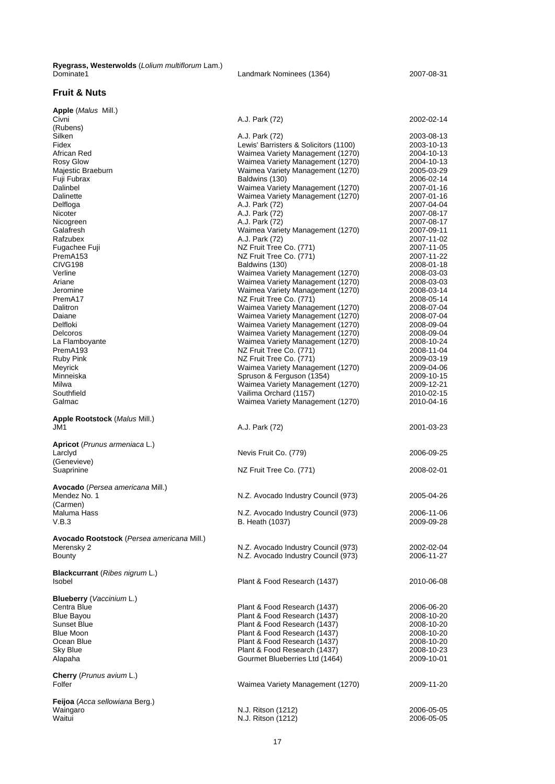**Ryegrass, Westerwolds** (*Lolium multiflorum* Lam.)

Landmark Nominees (1364) 2007-08-31

#### **Fruit & Nuts**

| <b>1000</b><br>(Rubens)                    | $1.0.1$ and $1.2$                                  |                          |
|--------------------------------------------|----------------------------------------------------|--------------------------|
| Silken                                     | A.J. Park (72)                                     | 2003-08-13               |
| Fidex                                      | Lewis' Barristers & Solicitors (1100)              | 2003-10-13               |
| African Red                                | Waimea Variety Management (1270)                   | 2004-10-13               |
| Rosy Glow                                  | Waimea Variety Management (1270)                   | 2004-10-13               |
| Majestic Braeburn                          | Waimea Variety Management (1270)                   | 2005-03-29               |
| Fuji Fubrax                                | Baldwins (130)                                     | 2006-02-14               |
| Dalinbel                                   | Waimea Variety Management (1270)                   | 2007-01-16               |
| Dalinette                                  | Waimea Variety Management (1270)                   | 2007-01-16               |
| Delfloga                                   | A.J. Park (72)                                     | 2007-04-04               |
| Nicoter                                    | A.J. Park (72)                                     | 2007-08-17               |
| Nicogreen<br>Galafresh                     | A.J. Park (72)                                     | 2007-08-17               |
| Rafzubex                                   | Waimea Variety Management (1270)<br>A.J. Park (72) | 2007-09-11<br>2007-11-02 |
| Fugachee Fuji                              | NZ Fruit Tree Co. (771)                            | 2007-11-05               |
| PremA153                                   | NZ Fruit Tree Co. (771)                            | 2007-11-22               |
| CIVG198                                    | Baldwins (130)                                     | 2008-01-18               |
| Verline                                    | Waimea Variety Management (1270)                   | 2008-03-03               |
| Ariane                                     | Waimea Variety Management (1270)                   | 2008-03-03               |
| Jeromine                                   | Waimea Variety Management (1270)                   | 2008-03-14               |
| PremA17                                    | NZ Fruit Tree Co. (771)                            | 2008-05-14               |
| Dalitron                                   | Waimea Variety Management (1270)                   | 2008-07-04               |
| Daiane                                     | Waimea Variety Management (1270)                   | 2008-07-04               |
| Delfloki                                   | Waimea Variety Management (1270)                   | 2008-09-04               |
| Delcoros                                   | Waimea Variety Management (1270)                   | 2008-09-04               |
| La Flamboyante                             | Waimea Variety Management (1270)                   | 2008-10-24               |
| PremA193                                   | NZ Fruit Tree Co. (771)                            | 2008-11-04               |
| Ruby Pink                                  | NZ Fruit Tree Co. (771)                            | 2009-03-19               |
| Meyrick                                    | Waimea Variety Management (1270)                   | 2009-04-06               |
| Minneiska                                  | Spruson & Ferguson (1354)                          | 2009-10-15               |
| Milwa                                      | Waimea Variety Management (1270)                   | 2009-12-21               |
| Southfield                                 | Vailima Orchard (1157)                             | 2010-02-15               |
| Galmac                                     | Waimea Variety Management (1270)                   | 2010-04-16               |
| Apple Rootstock (Malus Mill.)              |                                                    |                          |
| JM1                                        | A.J. Park (72)                                     | 2001-03-23               |
|                                            |                                                    |                          |
| <b>Apricot</b> (Prunus armeniaca L.)       |                                                    |                          |
| Larclyd                                    | Nevis Fruit Co. (779)                              | 2006-09-25               |
| (Genevieve)                                |                                                    |                          |
| Suaprinine                                 | NZ Fruit Tree Co. (771)                            | 2008-02-01               |
|                                            |                                                    |                          |
| Avocado (Persea americana Mill.)           |                                                    |                          |
| Mendez No. 1                               | N.Z. Avocado Industry Council (973)                | 2005-04-26               |
| (Carmen)                                   |                                                    |                          |
| Maluma Hass                                | N.Z. Avocado Industry Council (973)                | 2006-11-06               |
| V.B.3                                      | <b>B.</b> Heath (1037)                             | 2009-09-28               |
| Avocado Rootstock (Persea americana Mill.) |                                                    |                          |
| Merensky 2                                 | N.Z. Avocado Industry Council (973)                | 2002-02-04               |
| Bounty                                     | N.Z. Avocado Industry Council (973)                | 2006-11-27               |
|                                            |                                                    |                          |
| Blackcurrant (Ribes nigrum L.)             |                                                    |                          |
| Isobel                                     | Plant & Food Research (1437)                       | 2010-06-08               |
|                                            |                                                    |                          |
| Blueberry (Vaccinium L.)                   |                                                    |                          |
| Centra Blue                                | Plant & Food Research (1437)                       | 2006-06-20               |
| Blue Bayou                                 | Plant & Food Research (1437)                       | 2008-10-20               |
| Sunset Blue                                | Plant & Food Research (1437)                       | 2008-10-20               |
| <b>Blue Moon</b>                           | Plant & Food Research (1437)                       | 2008-10-20               |
| Ocean Blue                                 | Plant & Food Research (1437)                       | 2008-10-20               |
| Sky Blue                                   | Plant & Food Research (1437)                       | 2008-10-23               |
| Alapaha                                    | Gourmet Blueberries Ltd (1464)                     | 2009-10-01               |
|                                            |                                                    |                          |
| Cherry (Prunus avium L.)                   |                                                    |                          |
| Folfer                                     | Waimea Variety Management (1270)                   | 2009-11-20               |
| Feijoa (Acca sellowiana Berg.)             |                                                    |                          |
| Waingaro                                   | N.J. Ritson (1212)                                 | 2006-05-05               |
| Waitui                                     | N.J. Ritson (1212)                                 | 2006-05-05               |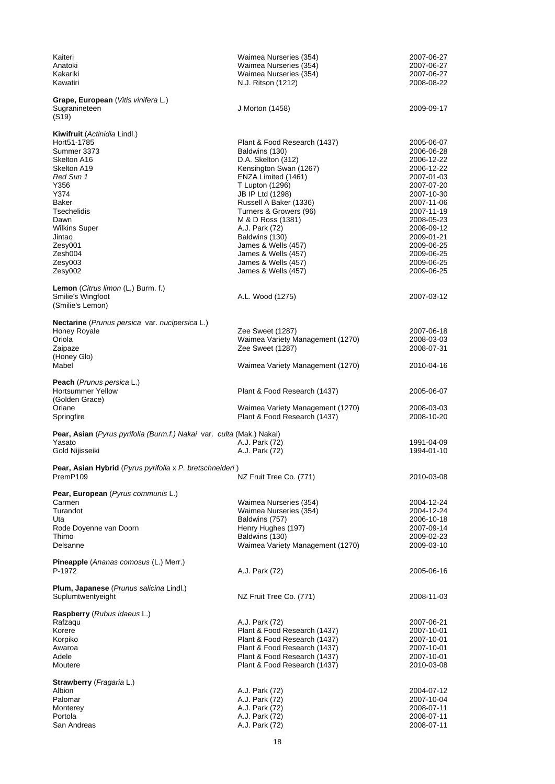| Kaiteri<br>Anatoki<br>Kakariki                                                         | Waimea Nurseries (354)<br>Waimea Nurseries (354)<br>Waimea Nurseries (354) | 2007-06-27<br>2007-06-27<br>2007-06-27 |
|----------------------------------------------------------------------------------------|----------------------------------------------------------------------------|----------------------------------------|
| Kawatiri                                                                               | N.J. Ritson (1212)                                                         | 2008-08-22                             |
| Grape, European (Vitis vinifera L.)<br>Sugranineteen<br>(S19)                          | J Morton (1458)                                                            | 2009-09-17                             |
| <b>Kiwifruit</b> (Actinidia Lindl.)                                                    |                                                                            |                                        |
| Hort51-1785<br>Summer 3373<br>Skelton A16                                              | Plant & Food Research (1437)<br>Baldwins (130)<br>D.A. Skelton (312)       | 2005-06-07<br>2006-06-28<br>2006-12-22 |
| Skelton A19                                                                            | Kensington Swan (1267)                                                     | 2006-12-22                             |
| Red Sun 1<br>Y356                                                                      | ENZA Limited (1461)<br>T Lupton (1296)                                     | 2007-01-03<br>2007-07-20               |
| Y374                                                                                   | JB IP Ltd (1298)                                                           | 2007-10-30                             |
| Baker<br>Tsechelidis                                                                   | Russell A Baker (1336)<br>Turners & Growers (96)                           | 2007-11-06<br>2007-11-19               |
| Dawn<br><b>Wilkins Super</b>                                                           | M & D Ross (1381)<br>A.J. Park (72)                                        | 2008-05-23<br>2008-09-12               |
| Jintao                                                                                 | Baldwins (130)                                                             | 2009-01-21                             |
| Zesy001<br>Zesh004                                                                     | James & Wells (457)<br>James & Wells (457)                                 | 2009-06-25<br>2009-06-25               |
| Zesv003                                                                                | James & Wells (457)                                                        | 2009-06-25                             |
| Zesy002                                                                                | James & Wells (457)                                                        | 2009-06-25                             |
| Lemon (Citrus limon (L.) Burm. f.)<br>Smilie's Wingfoot                                | A.L. Wood (1275)                                                           | 2007-03-12                             |
| (Smilie's Lemon)                                                                       |                                                                            |                                        |
| Nectarine (Prunus persica var. nucipersica L.)                                         |                                                                            |                                        |
| Honey Royale<br>Oriola                                                                 | Zee Sweet (1287)<br>Waimea Variety Management (1270)                       | 2007-06-18<br>2008-03-03               |
| Zaipaze                                                                                | Zee Sweet (1287)                                                           | 2008-07-31                             |
| (Honey Glo)<br>Mabel                                                                   | Waimea Variety Management (1270)                                           | 2010-04-16                             |
| <b>Peach</b> ( <i>Prunus persica</i> L.)<br><b>Hortsummer Yellow</b><br>(Golden Grace) | Plant & Food Research (1437)                                               | 2005-06-07                             |
| Oriane<br>Springfire                                                                   | Waimea Variety Management (1270)<br>Plant & Food Research (1437)           | 2008-03-03<br>2008-10-20               |
| <b>Pear, Asian</b> (Pyrus pyrifolia (Burm.f.) Nakai var. culta (Mak.) Nakai)           |                                                                            |                                        |
| Yasato<br>Gold Nijisseiki                                                              | A.J. Park (72)<br>A.J. Park (72)                                           | 1991-04-09<br>1994-01-10               |
| Pear, Asian Hybrid (Pyrus pyrifolia x P. bretschneideri)                               |                                                                            |                                        |
| PremP109                                                                               | NZ Fruit Tree Co. (771)                                                    | 2010-03-08                             |
| Pear, European (Pyrus communis L.)                                                     |                                                                            |                                        |
| Carmen<br>Turandot                                                                     | Waimea Nurseries (354)<br>Waimea Nurseries (354)                           | 2004-12-24<br>2004-12-24               |
| Uta                                                                                    | Baldwins (757)                                                             | 2006-10-18                             |
| Rode Doyenne van Doorn<br>Thimo                                                        | Henry Hughes (197)<br>Baldwins (130)                                       | 2007-09-14<br>2009-02-23               |
| Delsanne                                                                               | Waimea Variety Management (1270)                                           | 2009-03-10                             |
| Pineapple (Ananas comosus (L.) Merr.)<br>P-1972                                        | A.J. Park (72)                                                             | 2005-06-16                             |
| Plum, Japanese (Prunus salicina Lindl.)                                                |                                                                            |                                        |
| Suplumtwentyeight                                                                      | NZ Fruit Tree Co. (771)                                                    | 2008-11-03                             |
| Raspberry (Rubus idaeus L.)<br>Rafzaqu                                                 | A.J. Park (72)                                                             | 2007-06-21                             |
| Korere                                                                                 | Plant & Food Research (1437)                                               | 2007-10-01                             |
| Korpiko<br>Awaroa                                                                      | Plant & Food Research (1437)<br>Plant & Food Research (1437)               | 2007-10-01<br>2007-10-01               |
| Adele                                                                                  | Plant & Food Research (1437)                                               | 2007-10-01                             |
| Moutere                                                                                | Plant & Food Research (1437)                                               | 2010-03-08                             |
| Strawberry (Fragaria L.)<br>Albion                                                     | A.J. Park (72)                                                             | 2004-07-12                             |
| Palomar                                                                                | A.J. Park (72)                                                             | 2007-10-04                             |
| Monterey<br>Portola                                                                    | A.J. Park (72)<br>A.J. Park (72)                                           | 2008-07-11<br>2008-07-11               |
| San Andreas                                                                            | A.J. Park (72)                                                             | 2008-07-11                             |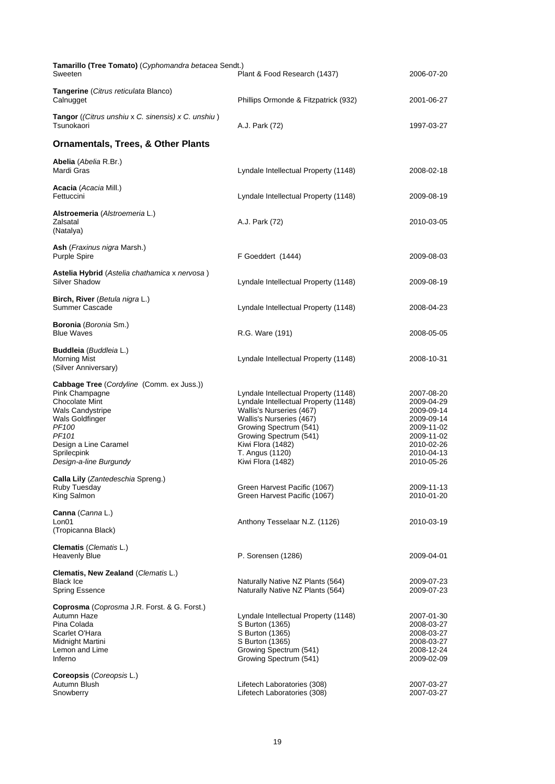| Tamarillo (Tree Tomato) (Cyphomandra betacea Sendt.)<br>Sweeten                                                                                                                                                                                       | Plant & Food Research (1437)                                                                                                                                                                                                                          | 2006-07-20                                                                                                                 |
|-------------------------------------------------------------------------------------------------------------------------------------------------------------------------------------------------------------------------------------------------------|-------------------------------------------------------------------------------------------------------------------------------------------------------------------------------------------------------------------------------------------------------|----------------------------------------------------------------------------------------------------------------------------|
| Tangerine (Citrus reticulata Blanco)<br>Calnugget                                                                                                                                                                                                     | Phillips Ormonde & Fitzpatrick (932)                                                                                                                                                                                                                  | 2001-06-27                                                                                                                 |
| Tangor ((Citrus unshiu x C. sinensis) x C. unshiu)<br>Tsunokaori                                                                                                                                                                                      | A.J. Park (72)                                                                                                                                                                                                                                        | 1997-03-27                                                                                                                 |
| <b>Ornamentals, Trees, &amp; Other Plants</b>                                                                                                                                                                                                         |                                                                                                                                                                                                                                                       |                                                                                                                            |
| Abelia (Abelia R.Br.)<br>Mardi Gras                                                                                                                                                                                                                   | Lyndale Intellectual Property (1148)                                                                                                                                                                                                                  | 2008-02-18                                                                                                                 |
| <b>Acacia</b> ( <i>Acacia</i> Mill.)<br>Fettuccini                                                                                                                                                                                                    | Lyndale Intellectual Property (1148)                                                                                                                                                                                                                  | 2009-08-19                                                                                                                 |
| Alstroemeria (Alstroemeria L.)<br>Zalsatal<br>(Natalya)                                                                                                                                                                                               | A.J. Park (72)                                                                                                                                                                                                                                        | 2010-03-05                                                                                                                 |
| Ash (Fraxinus nigra Marsh.)<br><b>Purple Spire</b>                                                                                                                                                                                                    | F Goeddert (1444)                                                                                                                                                                                                                                     | 2009-08-03                                                                                                                 |
| Astelia Hybrid (Astelia chathamica x nervosa)<br><b>Silver Shadow</b>                                                                                                                                                                                 | Lyndale Intellectual Property (1148)                                                                                                                                                                                                                  | 2009-08-19                                                                                                                 |
| Birch, River (Betula nigra L.)<br>Summer Cascade                                                                                                                                                                                                      | Lyndale Intellectual Property (1148)                                                                                                                                                                                                                  | 2008-04-23                                                                                                                 |
| Boronia (Boronia Sm.)<br><b>Blue Waves</b>                                                                                                                                                                                                            | R.G. Ware (191)                                                                                                                                                                                                                                       | 2008-05-05                                                                                                                 |
| Buddleia (Buddleia L.)<br><b>Morning Mist</b><br>(Silver Anniversary)                                                                                                                                                                                 | Lyndale Intellectual Property (1148)                                                                                                                                                                                                                  | 2008-10-31                                                                                                                 |
| <b>Cabbage Tree</b> (Cordyline (Comm. ex Juss.))<br>Pink Champagne<br><b>Chocolate Mint</b><br><b>Wals Candystripe</b><br>Wals Goldfinger<br>PF <sub>100</sub><br>PF <sub>101</sub><br>Design a Line Caramel<br>Sprilecpink<br>Design-a-line Burgundy | Lyndale Intellectual Property (1148)<br>Lyndale Intellectual Property (1148)<br>Wallis's Nurseries (467)<br>Wallis's Nurseries (467)<br>Growing Spectrum (541)<br>Growing Spectrum (541)<br>Kiwi Flora (1482)<br>T. Angus (1120)<br>Kiwi Flora (1482) | 2007-08-20<br>2009-04-29<br>2009-09-14<br>2009-09-14<br>2009-11-02<br>2009-11-02<br>2010-02-26<br>2010-04-13<br>2010-05-26 |
| Calla Lily (Zantedeschia Spreng.)<br>Ruby Tuesday<br>King Salmon                                                                                                                                                                                      | Green Harvest Pacific (1067)<br>Green Harvest Pacific (1067)                                                                                                                                                                                          | 2009-11-13<br>2010-01-20                                                                                                   |
| Canna (Canna L.)<br>Lon01<br>(Tropicanna Black)                                                                                                                                                                                                       | Anthony Tesselaar N.Z. (1126)                                                                                                                                                                                                                         | 2010-03-19                                                                                                                 |
| Clematis (Clematis L.)<br><b>Heavenly Blue</b>                                                                                                                                                                                                        | P. Sorensen (1286)                                                                                                                                                                                                                                    | 2009-04-01                                                                                                                 |
| Clematis, New Zealand (Clematis L.)<br><b>Black Ice</b><br>Spring Essence                                                                                                                                                                             | Naturally Native NZ Plants (564)<br>Naturally Native NZ Plants (564)                                                                                                                                                                                  | 2009-07-23<br>2009-07-23                                                                                                   |
| Coprosma (Coprosma J.R. Forst. & G. Forst.)<br>Autumn Haze<br>Pina Colada<br>Scarlet O'Hara<br>Midnight Martini<br>Lemon and Lime<br>Inferno                                                                                                          | Lyndale Intellectual Property (1148)<br>S Burton (1365)<br>S Burton (1365)<br>S Burton (1365)<br>Growing Spectrum (541)<br>Growing Spectrum (541)                                                                                                     | 2007-01-30<br>2008-03-27<br>2008-03-27<br>2008-03-27<br>2008-12-24<br>2009-02-09                                           |
| Coreopsis (Coreopsis L.)<br>Autumn Blush<br>Snowberry                                                                                                                                                                                                 | Lifetech Laboratories (308)<br>Lifetech Laboratories (308)                                                                                                                                                                                            | 2007-03-27<br>2007-03-27                                                                                                   |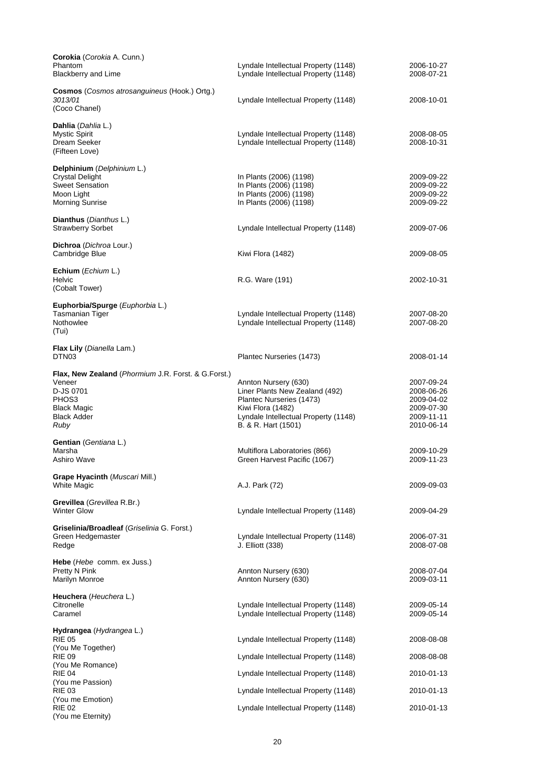| Corokia (Corokia A. Cunn.)<br>Phantom<br><b>Blackberry and Lime</b>                                                                                         | Lyndale Intellectual Property (1148)<br>Lyndale Intellectual Property (1148)                                                                                           | 2006-10-27<br>2008-07-21                                                         |
|-------------------------------------------------------------------------------------------------------------------------------------------------------------|------------------------------------------------------------------------------------------------------------------------------------------------------------------------|----------------------------------------------------------------------------------|
| Cosmos (Cosmos atrosanguineus (Hook.) Ortg.)<br>3013/01<br>(Coco Chanel)                                                                                    | Lyndale Intellectual Property (1148)                                                                                                                                   | 2008-10-01                                                                       |
| Dahlia (Dahlia L.)<br><b>Mystic Spirit</b><br>Dream Seeker<br>(Fifteen Love)                                                                                | Lyndale Intellectual Property (1148)<br>Lyndale Intellectual Property (1148)                                                                                           | 2008-08-05<br>2008-10-31                                                         |
| Delphinium (Delphinium L.)<br><b>Crystal Delight</b><br><b>Sweet Sensation</b><br>Moon Light<br><b>Morning Sunrise</b>                                      | In Plants (2006) (1198)<br>In Plants (2006) (1198)<br>In Plants (2006) (1198)<br>In Plants (2006) (1198)                                                               | 2009-09-22<br>2009-09-22<br>2009-09-22<br>2009-09-22                             |
| Dianthus (Dianthus L.)<br><b>Strawberry Sorbet</b>                                                                                                          | Lyndale Intellectual Property (1148)                                                                                                                                   | 2009-07-06                                                                       |
| Dichroa (Dichroa Lour.)<br>Cambridge Blue                                                                                                                   | Kiwi Flora (1482)                                                                                                                                                      | 2009-08-05                                                                       |
| Echium (Echium L.)<br>Helvic<br>(Cobalt Tower)                                                                                                              | R.G. Ware (191)                                                                                                                                                        | 2002-10-31                                                                       |
| Euphorbia/Spurge (Euphorbia L.)<br>Tasmanian Tiger<br>Nothowlee<br>(Tui)                                                                                    | Lyndale Intellectual Property (1148)<br>Lyndale Intellectual Property (1148)                                                                                           | 2007-08-20<br>2007-08-20                                                         |
| Flax Lily (Dianella Lam.)<br>DTN <sub>03</sub>                                                                                                              | Plantec Nurseries (1473)                                                                                                                                               | 2008-01-14                                                                       |
| <b>Flax, New Zealand</b> ( <i>Phormium J.R. Forst. &amp; G.Forst.</i> )<br>Veneer<br>D-JS 0701<br>PHOS3<br><b>Black Magic</b><br><b>Black Adder</b><br>Ruby | Annton Nursery (630)<br>Liner Plants New Zealand (492)<br>Plantec Nurseries (1473)<br>Kiwi Flora (1482)<br>Lyndale Intellectual Property (1148)<br>B. & R. Hart (1501) | 2007-09-24<br>2008-06-26<br>2009-04-02<br>2009-07-30<br>2009-11-11<br>2010-06-14 |
| <b>Gentian</b> (Gentiana L.)<br>Marsha<br>Ashiro Wave                                                                                                       | Multiflora Laboratories (866)<br>Green Harvest Pacific (1067)                                                                                                          | 2009-10-29<br>2009-11-23                                                         |
| Grape Hyacinth (Muscari Mill.)<br>White Magic                                                                                                               | A.J. Park (72)                                                                                                                                                         | 2009-09-03                                                                       |
| Grevillea (Grevillea R.Br.)<br><b>Winter Glow</b>                                                                                                           | Lyndale Intellectual Property (1148)                                                                                                                                   | 2009-04-29                                                                       |
| Griselinia/Broadleaf (Griselinia G. Forst.)<br>Green Hedgemaster<br>Redge                                                                                   | Lyndale Intellectual Property (1148)<br>J. Elliott (338)                                                                                                               | 2006-07-31<br>2008-07-08                                                         |
| Hebe (Hebe comm. ex Juss.)<br>Pretty N Pink<br><b>Marilyn Monroe</b>                                                                                        | Annton Nursery (630)<br>Annton Nursery (630)                                                                                                                           | 2008-07-04<br>2009-03-11                                                         |
| Heuchera (Heuchera L.)<br>Citronelle<br>Caramel                                                                                                             | Lyndale Intellectual Property (1148)<br>Lyndale Intellectual Property (1148)                                                                                           | 2009-05-14<br>2009-05-14                                                         |
| Hydrangea (Hydrangea L.)<br><b>RIE 05</b><br>(You Me Together)                                                                                              | Lyndale Intellectual Property (1148)                                                                                                                                   | 2008-08-08                                                                       |
| <b>RIE 09</b><br>(You Me Romance)                                                                                                                           | Lyndale Intellectual Property (1148)                                                                                                                                   | 2008-08-08                                                                       |
| <b>RIE 04</b><br>(You me Passion)                                                                                                                           | Lyndale Intellectual Property (1148)                                                                                                                                   | 2010-01-13                                                                       |
| <b>RIE 03</b><br>(You me Emotion)                                                                                                                           | Lyndale Intellectual Property (1148)                                                                                                                                   | 2010-01-13                                                                       |
| <b>RIE 02</b><br>(You me Eternity)                                                                                                                          | Lyndale Intellectual Property (1148)                                                                                                                                   | 2010-01-13                                                                       |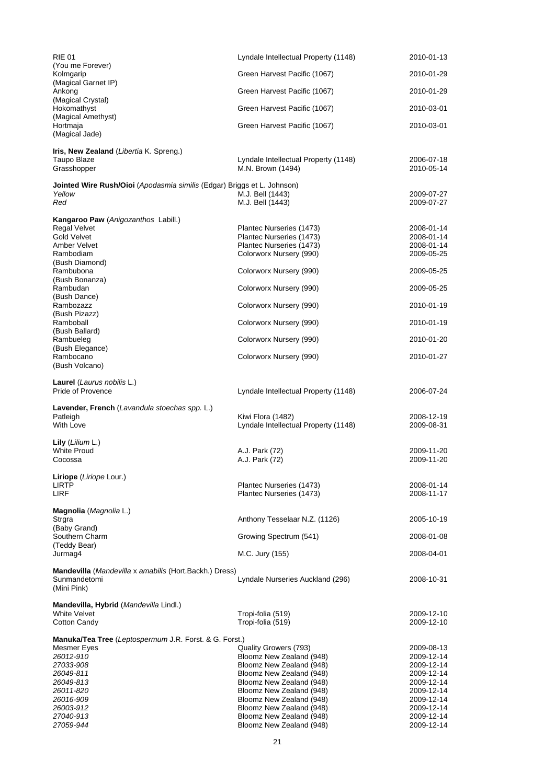| <b>RIE 01</b>                                                           | Lyndale Intellectual Property (1148)                 | 2010-01-13               |
|-------------------------------------------------------------------------|------------------------------------------------------|--------------------------|
| (You me Forever)<br>Kolmgarip                                           | Green Harvest Pacific (1067)                         | 2010-01-29               |
| (Magical Garnet IP)                                                     |                                                      |                          |
| Ankong<br>(Magical Crystal)                                             | Green Harvest Pacific (1067)                         | 2010-01-29               |
| Hokomathyst<br>(Magical Amethyst)                                       | Green Harvest Pacific (1067)                         | 2010-03-01               |
| Hortmaja                                                                | Green Harvest Pacific (1067)                         | 2010-03-01               |
| (Magical Jade)                                                          |                                                      |                          |
| Iris, New Zealand (Libertia K. Spreng.)                                 |                                                      |                          |
| Taupo Blaze                                                             | Lyndale Intellectual Property (1148)                 | 2006-07-18               |
| Grasshopper                                                             | M.N. Brown (1494)                                    | 2010-05-14               |
| Jointed Wire Rush/Oioi (Apodasmia similis (Edgar) Briggs et L. Johnson) |                                                      |                          |
| Yellow<br>Red                                                           | M.J. Bell (1443)<br>M.J. Bell (1443)                 | 2009-07-27<br>2009-07-27 |
|                                                                         |                                                      |                          |
| Kangaroo Paw (Anigozanthos Labill.)<br><b>Regal Velvet</b>              | Plantec Nurseries (1473)                             | 2008-01-14               |
| Gold Velvet                                                             | Plantec Nurseries (1473)                             | 2008-01-14               |
| Amber Velvet                                                            | Plantec Nurseries (1473)                             | 2008-01-14               |
| Rambodiam                                                               | Colorworx Nursery (990)                              | 2009-05-25               |
| (Bush Diamond)<br>Rambubona                                             | Colorworx Nursery (990)                              | 2009-05-25               |
| (Bush Bonanza)                                                          |                                                      |                          |
| Rambudan                                                                | Colorworx Nursery (990)                              | 2009-05-25               |
| (Bush Dance)<br>Rambozazz                                               | Colorworx Nursery (990)                              | 2010-01-19               |
| (Bush Pizazz)                                                           |                                                      |                          |
| Ramboball                                                               | Colorworx Nursery (990)                              | 2010-01-19               |
| (Bush Ballard)<br>Rambueleg                                             | Colorworx Nursery (990)                              | 2010-01-20               |
| (Bush Elegance)                                                         |                                                      |                          |
| Rambocano<br>(Bush Volcano)                                             | Colorworx Nursery (990)                              | 2010-01-27               |
| Laurel (Laurus nobilis L.)                                              |                                                      |                          |
| Pride of Provence                                                       | Lyndale Intellectual Property (1148)                 | 2006-07-24               |
| Lavender, French (Lavandula stoechas spp. L.)                           |                                                      |                          |
| Patleigh                                                                | Kiwi Flora (1482)                                    | 2008-12-19               |
| With Love                                                               | Lyndale Intellectual Property (1148)                 | 2009-08-31               |
| <b>Lily</b> ( <i>Lilium</i> $L$ .)                                      |                                                      |                          |
| <b>White Proud</b>                                                      | A.J. Park (72)                                       | 2009-11-20               |
| Cocossa                                                                 | A.J. Park (72)                                       | 2009-11-20               |
| Liriope (Liriope Lour.)                                                 |                                                      |                          |
| <b>LIRTP</b>                                                            | Plantec Nurseries (1473)                             | 2008-01-14               |
| LIRF                                                                    | Plantec Nurseries (1473)                             | 2008-11-17               |
| Magnolia (Magnolia L.)                                                  |                                                      |                          |
| Strgra<br>(Baby Grand)                                                  | Anthony Tesselaar N.Z. (1126)                        | 2005-10-19               |
| Southern Charm                                                          | Growing Spectrum (541)                               | 2008-01-08               |
| (Teddy Bear)                                                            |                                                      |                          |
| Jurmag4                                                                 | M.C. Jury (155)                                      | 2008-04-01               |
| <b>Mandevilla</b> ( <i>Mandevilla x amabilis</i> (Hort.Backh.) Dress)   |                                                      |                          |
| Sunmandetomi<br>(Mini Pink)                                             | Lyndale Nurseries Auckland (296)                     | 2008-10-31               |
|                                                                         |                                                      |                          |
| Mandevilla, Hybrid (Mandevilla Lindl.)                                  |                                                      |                          |
| White Velvet                                                            | Tropi-folia (519)<br>Tropi-folia (519)               | 2009-12-10               |
| Cotton Candy                                                            |                                                      | 2009-12-10               |
| Manuka/Tea Tree (Leptospermum J.R. Forst. & G. Forst.)                  |                                                      |                          |
| Mesmer Eyes<br>26012-910                                                | Quality Growers (793)<br>Bloomz New Zealand (948)    | 2009-08-13               |
| 27033-908                                                               | Bloomz New Zealand (948)                             | 2009-12-14<br>2009-12-14 |
| 26049-811                                                               | Bloomz New Zealand (948)                             | 2009-12-14               |
| 26049-813                                                               | Bloomz New Zealand (948)                             | 2009-12-14               |
| 26011-820                                                               | Bloomz New Zealand (948)                             | 2009-12-14               |
| 26016-909                                                               | Bloomz New Zealand (948)                             | 2009-12-14               |
| 26003-912<br>27040-913                                                  | Bloomz New Zealand (948)<br>Bloomz New Zealand (948) | 2009-12-14<br>2009-12-14 |
| 27059-944                                                               | Bloomz New Zealand (948)                             | 2009-12-14               |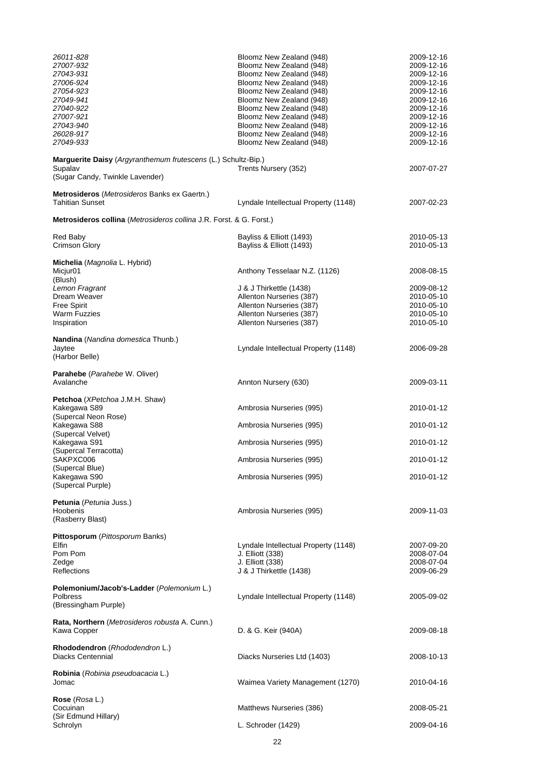| 26011-828<br>27007-932<br>27043-931<br>27006-924<br>27054-923<br>27049-941<br>27040-922<br>27007-921<br>27043-940<br>26028-917<br>27049-933 | Bloomz New Zealand (948)<br>Bloomz New Zealand (948)<br>Bloomz New Zealand (948)<br>Bloomz New Zealand (948)<br>Bloomz New Zealand (948)<br>Bloomz New Zealand (948)<br>Bloomz New Zealand (948)<br>Bloomz New Zealand (948)<br>Bloomz New Zealand (948)<br>Bloomz New Zealand (948)<br>Bloomz New Zealand (948) | 2009-12-16<br>2009-12-16<br>2009-12-16<br>2009-12-16<br>2009-12-16<br>2009-12-16<br>2009-12-16<br>2009-12-16<br>2009-12-16<br>2009-12-16<br>2009-12-16 |
|---------------------------------------------------------------------------------------------------------------------------------------------|------------------------------------------------------------------------------------------------------------------------------------------------------------------------------------------------------------------------------------------------------------------------------------------------------------------|--------------------------------------------------------------------------------------------------------------------------------------------------------|
| Marguerite Daisy (Argyranthemum frutescens (L.) Schultz-Bip.)<br>Supalav<br>(Sugar Candy, Twinkle Lavender)                                 | Trents Nursery (352)                                                                                                                                                                                                                                                                                             | 2007-07-27                                                                                                                                             |
| <b>Metrosideros</b> ( <i>Metrosideros</i> Banks ex Gaertn.)<br><b>Tahitian Sunset</b>                                                       | Lyndale Intellectual Property (1148)                                                                                                                                                                                                                                                                             | 2007-02-23                                                                                                                                             |
| Metrosideros collina (Metrosideros collina J.R. Forst. & G. Forst.)                                                                         |                                                                                                                                                                                                                                                                                                                  |                                                                                                                                                        |
| Red Baby<br><b>Crimson Glory</b>                                                                                                            | Bayliss & Elliott (1493)<br>Bayliss & Elliott (1493)                                                                                                                                                                                                                                                             | 2010-05-13<br>2010-05-13                                                                                                                               |
| Michelia (Magnolia L. Hybrid)<br>Micjur01<br>(Blush)<br>Lemon Fragrant                                                                      | Anthony Tesselaar N.Z. (1126)<br>J & J Thirkettle (1438)                                                                                                                                                                                                                                                         | 2008-08-15<br>2009-08-12                                                                                                                               |
| Dream Weaver<br><b>Free Spirit</b><br>Warm Fuzzies<br>Inspiration                                                                           | Allenton Nurseries (387)<br>Allenton Nurseries (387)<br>Allenton Nurseries (387)<br>Allenton Nurseries (387)                                                                                                                                                                                                     | 2010-05-10<br>2010-05-10<br>2010-05-10<br>2010-05-10                                                                                                   |
| Nandina (Nandina domestica Thunb.)<br>Jaytee<br>(Harbor Belle)                                                                              | Lyndale Intellectual Property (1148)                                                                                                                                                                                                                                                                             | 2006-09-28                                                                                                                                             |
| <b>Parahebe</b> ( <i>Parahebe</i> W. Oliver)<br>Avalanche                                                                                   | Annton Nursery (630)                                                                                                                                                                                                                                                                                             | 2009-03-11                                                                                                                                             |
| Petchoa (XPetchoa J.M.H. Shaw)<br>Kakegawa S89<br>(Supercal Neon Rose)                                                                      | Ambrosia Nurseries (995)                                                                                                                                                                                                                                                                                         | 2010-01-12                                                                                                                                             |
| Kakegawa S88<br>(Supercal Velvet)                                                                                                           | Ambrosia Nurseries (995)                                                                                                                                                                                                                                                                                         | 2010-01-12                                                                                                                                             |
| Kakegawa S91<br>(Supercal Terracotta)                                                                                                       | Ambrosia Nurseries (995)                                                                                                                                                                                                                                                                                         | 2010-01-12                                                                                                                                             |
| SAKPXC006<br>(Supercal Blue)<br>Kakegawa S90<br>(Supercal Purple)                                                                           | Ambrosia Nurseries (995)<br>Ambrosia Nurseries (995)                                                                                                                                                                                                                                                             | 2010-01-12<br>2010-01-12                                                                                                                               |
| Petunia (Petunia Juss.)<br>Hoobenis<br>(Rasberry Blast)                                                                                     | Ambrosia Nurseries (995)                                                                                                                                                                                                                                                                                         | 2009-11-03                                                                                                                                             |
| Pittosporum (Pittosporum Banks)<br><b>Elfin</b><br>Pom Pom<br>Zedge<br><b>Reflections</b>                                                   | Lyndale Intellectual Property (1148)<br>J. Elliott (338)<br>J. Elliott (338)<br>J & J Thirkettle (1438)                                                                                                                                                                                                          | 2007-09-20<br>2008-07-04<br>2008-07-04<br>2009-06-29                                                                                                   |
| Polemonium/Jacob's-Ladder (Polemonium L.)<br>Polbress<br>(Bressingham Purple)                                                               | Lyndale Intellectual Property (1148)                                                                                                                                                                                                                                                                             | 2005-09-02                                                                                                                                             |
| Rata, Northern (Metrosideros robusta A. Cunn.)<br>Kawa Copper                                                                               | D. & G. Keir (940A)                                                                                                                                                                                                                                                                                              | 2009-08-18                                                                                                                                             |
| Rhododendron (Rhododendron L.)<br>Diacks Centennial                                                                                         | Diacks Nurseries Ltd (1403)                                                                                                                                                                                                                                                                                      | 2008-10-13                                                                                                                                             |
| Robinia (Robinia pseudoacacia L.)<br>Jomac                                                                                                  | Waimea Variety Management (1270)                                                                                                                                                                                                                                                                                 | 2010-04-16                                                                                                                                             |
| Rose (Rosa L.)<br>Cocuinan                                                                                                                  | Matthews Nurseries (386)                                                                                                                                                                                                                                                                                         | 2008-05-21                                                                                                                                             |
| (Sir Edmund Hillary)<br>Schrolyn                                                                                                            | L. Schroder (1429)                                                                                                                                                                                                                                                                                               | 2009-04-16                                                                                                                                             |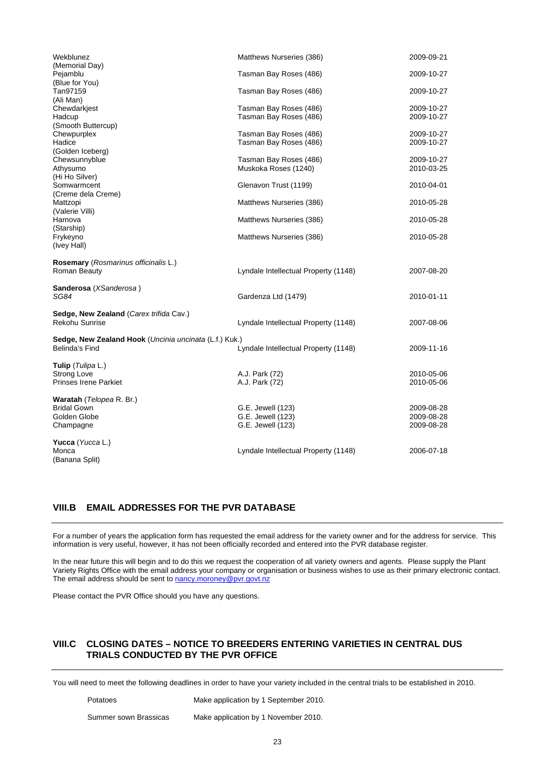| Wekblunez                                              | Matthews Nurseries (386)             | 2009-09-21 |
|--------------------------------------------------------|--------------------------------------|------------|
| (Memorial Day)<br>Pejamblu                             | Tasman Bay Roses (486)               | 2009-10-27 |
| (Blue for You)                                         |                                      |            |
| Tan97159                                               | Tasman Bay Roses (486)               | 2009-10-27 |
| (Ali Man)                                              |                                      |            |
| Chewdarkjest                                           | Tasman Bay Roses (486)               | 2009-10-27 |
| Hadcup                                                 | Tasman Bay Roses (486)               | 2009-10-27 |
| (Smooth Buttercup)                                     |                                      |            |
| Chewpurplex                                            | Tasman Bay Roses (486)               | 2009-10-27 |
| Hadice                                                 | Tasman Bay Roses (486)               | 2009-10-27 |
| (Golden Iceberg)                                       |                                      |            |
| Chewsunnyblue                                          | Tasman Bay Roses (486)               | 2009-10-27 |
| Athysumo                                               | Muskoka Roses (1240)                 | 2010-03-25 |
| (Hi Ho Silver)                                         |                                      |            |
| Somwarmcent                                            | Glenavon Trust (1199)                | 2010-04-01 |
| (Creme dela Creme)                                     |                                      |            |
| Mattzopi                                               | Matthews Nurseries (386)             | 2010-05-28 |
| (Valerie Villi)                                        |                                      |            |
| Harnova                                                | Matthews Nurseries (386)             | 2010-05-28 |
| (Starship)                                             |                                      |            |
| Frykeyno                                               | Matthews Nurseries (386)             | 2010-05-28 |
| (Ivey Hall)                                            |                                      |            |
|                                                        |                                      |            |
| Rosemary (Rosmarinus officinalis L.)                   |                                      |            |
| Roman Beauty                                           | Lyndale Intellectual Property (1148) | 2007-08-20 |
| Sanderosa (XSanderosa)                                 |                                      |            |
| SG84                                                   | Gardenza Ltd (1479)                  | 2010-01-11 |
|                                                        |                                      |            |
| Sedge, New Zealand (Carex trifida Cav.)                |                                      |            |
| <b>Rekohu Sunrise</b>                                  | Lyndale Intellectual Property (1148) | 2007-08-06 |
|                                                        |                                      |            |
| Sedge, New Zealand Hook (Uncinia uncinata (L.f.) Kuk.) |                                      |            |
| <b>Belinda's Find</b>                                  | Lyndale Intellectual Property (1148) | 2009-11-16 |
| <b>Tulip</b> ( <i>Tulipa</i> L.)                       |                                      |            |
| <b>Strong Love</b>                                     | A.J. Park (72)                       | 2010-05-06 |
| <b>Prinses Irene Parkiet</b>                           | A.J. Park (72)                       | 2010-05-06 |
|                                                        |                                      |            |
| Waratah (Telopea R. Br.)                               |                                      |            |
| <b>Bridal Gown</b>                                     | G.E. Jewell (123)                    | 2009-08-28 |
| Golden Globe                                           | G.E. Jewell (123)                    | 2009-08-28 |
| Champagne                                              | G.E. Jewell (123)                    | 2009-08-28 |
|                                                        |                                      |            |
| Yucca (Yucca L.)                                       |                                      |            |
| Monca                                                  | Lyndale Intellectual Property (1148) | 2006-07-18 |
| (Banana Split)                                         |                                      |            |

#### **VIII.B EMAIL ADDRESSES FOR THE PVR DATABASE**

For a number of years the application form has requested the email address for the variety owner and for the address for service. This information is very useful, however, it has not been officially recorded and entered into the PVR database register.

In the near future this will begin and to do this we request the cooperation of all variety owners and agents. Please supply the Plant Variety Rights Office with the email address your company or organisation or business wishes to use as their primary electronic contact. The email address should be sent to [nancy.moroney@pvr.govt.nz](mailto:nancy.moroney@pvr.govt.nz)

Please contact the PVR Office should you have any questions.

#### **VIII.C CLOSING DATES – NOTICE TO BREEDERS ENTERING VARIETIES IN CENTRAL DUS TRIALS CONDUCTED BY THE PVR OFFICE**

You will need to meet the following deadlines in order to have your variety included in the central trials to be established in 2010.

Potatoes Make application by 1 September 2010.

Summer sown Brassicas Make application by 1 November 2010.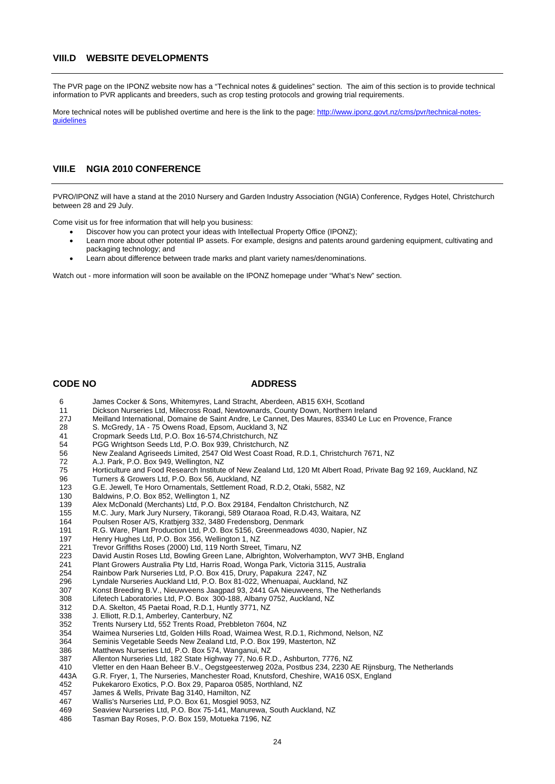#### **VIII.D WEBSITE DEVELOPMENTS**

The PVR page on the IPONZ website now has a "Technical notes & guidelines" section. The aim of this section is to provide technical information to PVR applicants and breeders, such as crop testing protocols and growing trial requirements.

More technical notes will be published overtime and here is the link to the page: [http://www.iponz.govt.nz/cms/pvr/technical-notes](http://www.iponz.govt.nz/cms/pvr/technical-notes-guidelines)[guidelines](http://www.iponz.govt.nz/cms/pvr/technical-notes-guidelines)

#### **VIII.E NGIA 2010 CONFERENCE**

PVRO/IPONZ will have a stand at the 2010 Nursery and Garden Industry Association (NGIA) Conference, Rydges Hotel, Christchurch between 28 and 29 July.

Come visit us for free information that will help you business:

- Discover how you can protect your ideas with Intellectual Property Office (IPONZ);
- Learn more about other potential IP assets. For example, designs and patents around gardening equipment, cultivating and packaging technology; and
- Learn about difference between trade marks and plant variety names/denominations.

Watch out - more information will soon be available on the IPONZ homepage under "What's New" section.

#### **CODE NO ADDRESS**

- 6 James Cocker & Sons, Whitemyres, Land Stracht, Aberdeen, AB15 6XH, Scotland
- 11 Dickson Nurseries Ltd, Milecross Road, Newtownards, County Down, Northern Ireland<br>27J Meilland International. Domaine de Saint Andre. Le Cannet. Des Maures. 83340 Le Lu
- 27J Meilland International, Domaine de Saint Andre, Le Cannet, Des Maures, 83340 Le Luc en Provence, France
- 28 S. McGredy, 1A 75 Owens Road, Epsom, Auckland 3, NZ<br>41 Cropmark Seeds Ltd, P.O. Box 16-574 Christchurch, NZ
- 
- 41 Cropmark Seeds Ltd, P.O. Box 16-574,Christchurch, NZ 54 PGG Wrightson Seeds Ltd, P.O. Box 939, Christchurch, NZ
- 56 New Zealand Agriseeds Limited, 2547 Old West Coast Road, R.D.1, Christchurch 7671, NZ
- 
- 72 A.J. Park, P.O. Box 949, Wellington, NZ Horticulture and Food Research Institute of New Zealand Ltd, 120 Mt Albert Road, Private Bag 92 169, Auckland, NZ
- 96 Turners & Growers Ltd, P.O. Box 56, Auckland, NZ
- 123 G.E. Jewell, Te Horo Ornamentals, Settlement Road, R.D.2, Otaki, 5582, NZ<br>130 Baldwins, P.O. Box 852, Wellington 1, NZ
- 130 Baldwins, P.O. Box 852, Wellington 1, NZ<br>139 Alex McDonald (Merchants) Ltd, P.O. Box
- 139 Alex McDonald (Merchants) Ltd, P.O. Box 29184, Fendalton Christchurch, NZ
- M.C. Jury, Mark Jury Nursery, Tikorangi, 589 Otaraoa Road, R.D.43, Waitara, NZ
- 164 Poulsen Roser A/S, Kratbjerg 332, 3480 Fredensborg, Denmark
- 191 R.G. Ware, Plant Production Ltd, P.O. Box 5156, Greenmeadows 4030, Napier, NZ<br>197 Henry Hughes Ltd, P.O. Box 356, Wellington 1, NZ
- 197 Henry Hughes Ltd, P.O. Box 356, Wellington 1, NZ
- 221 Trevor Griffiths Roses (2000) Ltd, 119 North Street, Timaru, NZ
	-
	- 223 David Austin Roses Ltd, Bowling Green Lane, Albrighton, Wolverhampton, WV7 3HB, England<br>241 Plant Growers Australia Pty Ltd, Harris Road, Wonga Park, Victoria 3115, Australia Plant Growers Australia Pty Ltd, Harris Road, Wonga Park, Victoria 3115, Australia
	- 254 Rainbow Park Nurseries Ltd, P.O. Box 415, Drury, Papakura 2247, NZ
	- 296 Lyndale Nurseries Auckland Ltd, P.O. Box 81-022, Whenuapai, Auckland, NZ
	- 307 Konst Breeding B.V., Nieuwveens Jaagpad 93, 2441 GA Nieuwveens, The Netherlands
- 
- 308 Lifetech Laboratories Ltd, P.O. Box 300-188, Albany 0752, Auckland, NZ<br>312 D.A. Skelton, 45 Paetai Road, R.D.1, Huntly 3771, NZ D.A. Skelton, 45 Paetai Road, R.D.1, Huntly 3771, NZ
- 338 J. Elliott, R.D.1, Amberley, Canterbury, NZ
- 
- 352 Trents Nursery Ltd, 552 Trents Road, Prebbleton 7604, NZ 354 Waimea Nurseries Ltd, Golden Hills Road, Waimea West, R.D.1, Richmond, Nelson, NZ
- 364 Seminis Vegetable Seeds New Zealand Ltd, P.O. Box 199, Masterton, NZ
- 386 Matthews Nurseries Ltd, P.O. Box 574, Wanganui, NZ
- Allenton Nurseries Ltd, 182 State Highway 77, No.6 R.D., Ashburton, 7776, NZ
- 410 Vletter en den Haan Beheer B.V., Oegstgeesterweg 202a, Postbus 234, 2230 AE Rijnsburg, The Netherlands
- 443A G.R. Fryer, 1, The Nurseries, Manchester Road, Knutsford, Cheshire, WA16 0SX, England
- 452 Pukekaroro Exotics, P.O. Box 29, Paparoa 0585, Northland, NZ
- James & Wells, Private Bag 3140, Hamilton, NZ
- 467 Wallis's Nurseries Ltd, P.O. Box 61, Mosgiel 9053, NZ
- 469 Seaview Nurseries Ltd, P.O. Box 75-141, Manurewa, South Auckland, NZ
- 486 Tasman Bay Roses, P.O. Box 159, Motueka 7196, NZ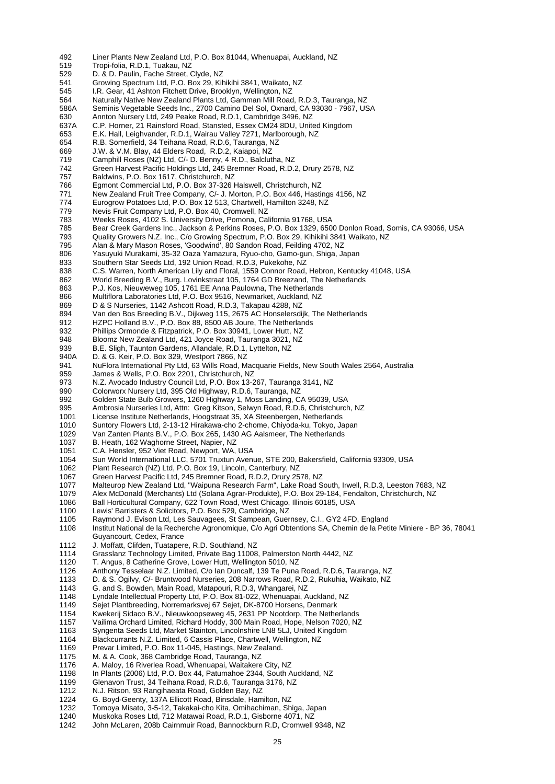- 492 Liner Plants New Zealand Ltd, P.O. Box 81044, Whenuapai, Auckland, NZ<br>519 Tropi-folia, R.D.1, Tuakau, NZ
- Tropi-folia, R.D.1, Tuakau, NZ
- 529 D. & D. Paulin, Fache Street, Clyde, NZ<br>541 Growing Spectrum Ltd, P.O. Box 29, Kit
- 541 Growing Spectrum Ltd, P.O. Box 29, Kihikihi 3841, Waikato, NZ
- 545 I.R. Gear, 41 Ashton Fitchett Drive, Brooklyn, Wellington, NZ
- 564 Naturally Native New Zealand Plants Ltd, Gamman Mill Road, R.D.3, Tauranga, NZ
- 586A Seminis Vegetable Seeds Inc., 2700 Camino Del Sol, Oxnard, CA 93030 7967, USA
- Annton Nursery Ltd, 249 Peake Road, R.D.1, Cambridge 3496, NZ
- 637A C.P. Horner, 21 Rainsford Road, Stansted, Essex CM24 8DU, United Kingdom
- 653 E.K. Hall, Leighvander, R.D.1, Wairau Valley 7271, Marlborough, NZ
- 654 R.B. Somerfield, 34 Teihana Road, R.D.6, Tauranga, NZ
- 669 J.W. & V.M. Blay, 44 Elders Road, R.D.2, Kaiapoi, NZ
- Camphill Roses (NZ) Ltd, C/- D. Benny, 4 R.D., Balclutha, NZ
- 742 Green Harvest Pacific Holdings Ltd, 245 Bremner Road, R.D.2, Drury 2578, NZ
- 757 Baldwins, P.O. Box 1617, Christchurch, NZ
- Egmont Commercial Ltd, P.O. Box 37-326 Halswell, Christchurch, NZ
- 771 New Zealand Fruit Tree Company, C/- J. Morton, P.O. Box 446, Hastings 4156, NZ<br>774 Eurogrow Potatoes Ltd. P.O. Box 12.513, Chartwell Hamilton 3248, NZ
- Eurogrow Potatoes Ltd, P.O. Box 12 513, Chartwell, Hamilton 3248, NZ
- 779 Nevis Fruit Company Ltd, P.O. Box 40, Cromwell, NZ<br>783 Weeks Roses, 4102 S. University Drive, Pomona, Cal
- Weeks Roses, 4102 S. University Drive, Pomona, California 91768, USA
- 785 Bear Creek Gardens Inc., Jackson & Perkins Roses, P.O. Box 1329, 6500 Donlon Road, Somis, CA 93066, USA
- 793 Quality Growers N.Z. Inc., C/o Growing Spectrum, P.O. Box 29, Kihikihi 3841 Waikato, NZ
- 795 Alan & Mary Mason Roses, 'Goodwind', 80 Sandon Road, Feilding 4702, NZ
- Yasuyuki Murakami, 35-32 Oaza Yamazura, Ryuo-cho, Gamo-gun, Shiga, Japan
- 833 Southern Star Seeds Ltd, 192 Union Road, R.D.3, Pukekohe, NZ
- 838 C.S. Warren, North American Lily and Floral, 1559 Connor Road, Hebron, Kentucky 41048, USA<br>862 World Breeding B.V., Burg. Lovinkstraat 105, 1764 GD Breezand. The Netherlands
- 862 World Breeding B.V., Burg. Lovinkstraat 105, 1764 GD Breezand, The Netherlands<br>863 P.J. Kos, Nieuweweg 105, 1761 EE Anna Paulowna, The Netherlands
- P.J. Kos, Nieuweweg 105, 1761 EE Anna Paulowna, The Netherlands
- 866 Multiflora Laboratories Ltd, P.O. Box 9516, Newmarket, Auckland, NZ
- 869 D & S Nurseries, 1142 Ashcott Road, R.D.3, Takapau 4288, NZ
- Van den Bos Breeding B.V., Dijkweg 115, 2675 AC Honselersdijk, The Netherlands
- 912 HZPC Holland B.V., P.O. Box 88, 8500 AB Joure, The Netherlands
- 932 Phillips Ormonde & Fitzpatrick, P.O. Box 30941, Lower Hutt, NZ
- 948 Bloomz New Zealand Ltd, 421 Joyce Road, Tauranga 3021, NZ
- 939 B.E. Sligh, Taunton Gardens, Allandale, R.D.1, Lyttelton, NZ
- 940A D. & G. Keir, P.O. Box 329, Westport 7866, NZ
- 941 NuFlora International Pty Ltd, 63 Wills Road, Macquarie Fields, New South Wales 2564, Australia<br>959 James & Wells, P.O. Box 2201, Christchurch, NZ
- 959 James & Wells, P.O. Box 2201, Christchurch, NZ<br>973 N.Z. Avocado Industry Council Ltd. P.O. Box 13-2
- N.Z. Avocado Industry Council Ltd, P.O. Box 13-267, Tauranga 3141, NZ
- 990 Colorworx Nursery Ltd, 395 Old Highway, R.D.6, Tauranga, NZ
- 992 Golden State Bulb Growers, 1260 Highway 1, Moss Landing, CA 95039, USA
- Ambrosia Nurseries Ltd, Attn: Greg Kitson, Selwyn Road, R.D.6, Christchurch, NZ
- 1001 License Institute Netherlands, Hoogstraat 35, XA Steenbergen, Netherlands
- 1010 Suntory Flowers Ltd, 2-13-12 Hirakawa-cho 2-chome, Chiyoda-ku, Tokyo, Japan<br>1029 Van Zanten Plants B.V., P.O. Box 265, 1430 AG Aalsmeer, The Netherlands
- 1029 Van Zanten Plants B.V., P.O. Box 265, 1430 AG Aalsmeer, The Netherlands
- B. Heath, 162 Waghorne Street, Napier, NZ
- 1051 C.A. Hensler, 952 Viet Road, Newport, WA, USA
- 1054 Sun World International LLC, 5701 Truxtun Avenue, STE 200, Bakersfield, California 93309, USA<br>1062 Plant Research (NZ) Ltd, P.O. Box 19, Lincoln, Canterbury, NZ
- Plant Research (NZ) Ltd, P.O. Box 19, Lincoln, Canterbury, NZ
- 1067 Green Harvest Pacific Ltd, 245 Bremner Road, R.D.2, Drury 2578, NZ
- 1077 Malteurop New Zealand Ltd, "Waipuna Research Farm", Lake Road South, Irwell, R.D.3, Leeston 7683, NZ<br>1079 Alex McDonald (Merchants) Ltd (Solana Agrar-Produkte), P.O. Box 29-184, Fendalton, Christchurch, NZ
- 1079 Alex McDonald (Merchants) Ltd (Solana Agrar-Produkte), P.O. Box 29-184, Fendalton, Christchurch, NZ<br>1086 Ball Horticultural Company. 622 Town Road. West Chicago. Illinois 60185. USA
- Ball Horticultural Company, 622 Town Road, West Chicago, Illinois 60185, USA
- 1100 Lewis' Barristers & Solicitors, P.O. Box 529, Cambridge, NZ
- 1105 Raymond J. Evison Ltd, Les Sauvagees, St Sampean, Guernsey, C.I., GY2 4FD, England
- 1108 Institut National de la Recherche Agronomique, C/o Agri Obtentions SA, Chemin de la Petite Miniere BP 36, 78041 Guyancourt, Cedex, France
- 
- 
- 
- Anthony Tesselaar N.Z. Limited, C/o Ian Duncalf, 139 Te Puna Road, R.D.6, Tauranga, NZ
- 1133 D. & S. Ogilvy, C/- Bruntwood Nurseries, 208 Narrows Road, R.D.2, Rukuhia, Waikato, NZ
- 
- 1143 G. and S. Bowden, Main Road, Matapouri, R.D.3, Whangarei, NZ<br>1148 Lyndale Intellectual Property Ltd, P.O. Box 81-022, Whenuapai, A Lyndale Intellectual Property Ltd, P.O. Box 81-022, Whenuapai, Auckland, NZ
- 1149 Sejet Plantbreeding, Norremarksvej 67 Sejet, DK-8700 Horsens, Denmark
- 1154 Kwekerij Sidaco B.V., Nieuwkoopseweg 45, 2631 PP Nootdorp, The Netherlands
- 1157 Vailima Orchard Limited, Richard Hoddy, 300 Main Road, Hope, Nelson 7020, NZ<br>1163 Syngenta Seeds Ltd. Market Stainton, Lincolnshire LN8 5LJ, Llnited Kingdom
- 1163 Syngenta Seeds Ltd, Market Stainton, Lincolnshire LN8 5LJ, United Kingdom
- 1164 Blackcurrants N.Z. Limited, 6 Cassis Place, Chartwell, Wellington, NZ<br>1169 Prevar Limited, P.O. Box 11-045, Hastings, New Zealand.
- 1169 Prevar Limited, P.O. Box 11-045, Hastings, New Zealand.<br>1175 M. & A. Cook, 368 Cambridge Road, Tauranga, NZ
- 1175 M. & A. Cook, 368 Cambridge Road, Tauranga, NZ
- A. Maloy, 16 Riverlea Road, Whenuapai, Waitakere City, NZ
- 1198 In Plants (2006) Ltd, P.O. Box 44, Patumahoe 2344, South Auckland, NZ
- 1199 Glenavon Trust, 34 Teihana Road, R.D.6, Tauranga 3176, NZ
- 1212 N.J. Ritson, 93 Rangihaeata Road, Golden Bay, NZ
- 1224 G. Boyd-Geenty, 137A Ellicott Road, Binsdale, Hamilton, NZ<br>1232 Tomoya Misato, 3-5-12, Takakai-cho Kita, Omihachiman, Sh
- 
- 1232 Tomoya Misato, 3-5-12, Takakai-cho Kita, Omihachiman, Shiga, Japan
- 1240 Muskoka Roses Ltd, 712 Matawai Road, R.D.1, Gisborne 4071, NZ John McLaren, 208b Cairnmuir Road, Bannockburn R.D, Cromwell 9348, NZ

 1112 J. Moffatt, Clifden, Tuatapere, R.D. Southland, NZ Grasslanz Technology Limited, Private Bag 11008, Palmerston North 4442, NZ

# 1120 T. Angus, 8 Catherine Grove, Lower Hutt, Wellington 5010, NZ<br>1126 Apthony Tesselaar N.Z. Limited, C/o lan Duncalf, 139 Te Puna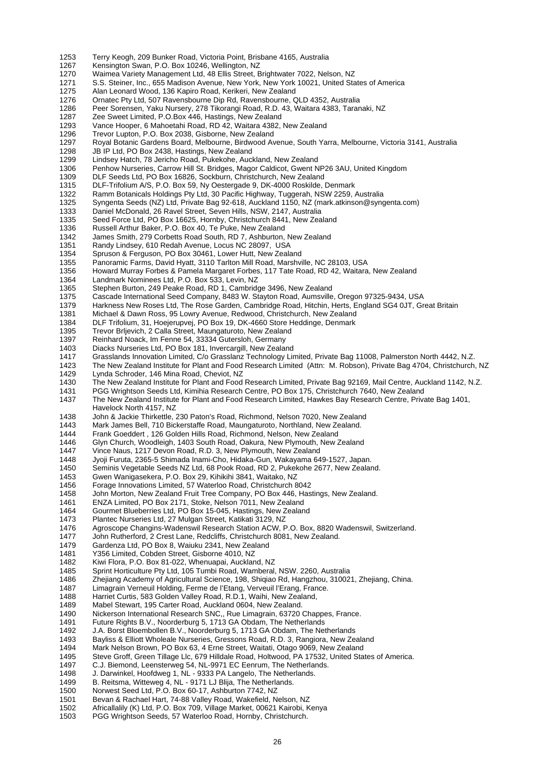- 1253 Terry Keogh, 209 Bunker Road, Victoria Point, Brisbane 4165, Australia
- 1267 Kensington Swan, P.O. Box 10246, Wellington, NZ<br>1270 Waimea Variety Management Ltd. 48 Ellis Street. B
- Waimea Variety Management Ltd, 48 Ellis Street, Brightwater 7022, Nelson, NZ
- 1271 S.S. Steiner, Inc., 655 Madison Avenue, New York, New York 10021, United States of America<br>1275 Alan Leonard Wood. 136 Kapiro Road. Kerikeri. New Zealand
- 1275 Alan Leonard Wood, 136 Kapiro Road, Kerikeri, New Zealand
- 1276 Ornatec Pty Ltd, 507 Ravensbourne Dip Rd, Ravensbourne, QLD 4352, Australia
- 1286 Peer Sorensen, Yaku Nursery, 278 Tikorangi Road, R.D. 43, Waitara 4383, Taranaki, NZ<br>1287 Zee Sweet Limited, P.O.Box 446, Hastings, New Zealand
- Zee Sweet Limited, P.O.Box 446, Hastings, New Zealand
- 1293 Vance Hooper, 6 Mahoetahi Road, RD 42, Waitara 4382, New Zealand
- 1296 Trevor Lupton, P.O. Box 2038, Gisborne, New Zealand
- 1297 Royal Botanic Gardens Board, Melbourne, Birdwood Avenue, South Yarra, Melbourne, Victoria 3141, Australia
- 1298 JB IP Ltd, PO Box 2438, Hastings, New Zealand<br>1299 Lindsey Hatch, 78 Jericho Road, Pukekohe, Aucl
- 1299 Lindsey Hatch, 78 Jericho Road, Pukekohe, Auckland, New Zealand
- Penhow Nurseries, Carrow Hill St. Bridges, Magor Caldicot, Gwent NP26 3AU, United Kingdom
- 1309 DLF Seeds Ltd, PO Box 16826, Sockburn, Christchurch, New Zealand<br>1315 DLF-Trifolium A/S. P.O. Box 59. Ny Oestergade 9. DK-4000 Roskilde.
- 1315 DLF-Trifolium A/S, P.O. Box 59, Ny Oestergade 9, DK-4000 Roskilde, Denmark<br>1322 Ramm Botanicals Holdings Pty Ltd. 30 Pacific Highway. Tuggerah. NSW 2259.
- Ramm Botanicals Holdings Pty Ltd, 30 Pacific Highway, Tuggerah, NSW 2259, Australia
- 1325 Syngenta Seeds (NZ) Ltd, Private Bag 92-618, Auckland 1150, NZ (mark.atkinson@syngenta.com)
- 1333 Daniel McDonald, 26 Ravel Street, Seven Hills, NSW, 2147, Australia
- 1335 Seed Force Ltd, PO Box 16625, Hornby, Christchurch 8441, New Zealand<br>1336 Russell Arthur Baker, P.O. Box 40, Te Puke, New Zealand
- Russell Arthur Baker, P.O. Box 40, Te Puke, New Zealand
- 1342 James Smith, 279 Corbetts Road South, RD 7, Ashburton, New Zealand<br>1351 Randy Lindsey, 610 Redah Avenue, Locus NC 28097, USA
- 1351 Randy Lindsey, 610 Redah Avenue, Locus NC 28097, USA<br>1354 Spruson & Ferguson, PO Box 30461, Lower Hutt, New Zeala
- Spruson & Ferguson, PO Box 30461, Lower Hutt, New Zealand
- 1355 Panoramic Farms, David Hyatt, 3110 Tarlton Mill Road, Marshville, NC 28103, USA
- 1356 Howard Murray Forbes & Pamela Margaret Forbes, 117 Tate Road, RD 42, Waitara, New Zealand<br>1364 Landmark Nominees Ltd. P.O. Box 533. Levin. NZ
- 1364 Landmark Nominees Ltd, P.O. Box 533, Levin, NZ
- Stephen Burton, 249 Peake Road, RD 1, Cambridge 3496, New Zealand
- 1375 Cascade International Seed Company, 8483 W. Stayton Road, Aumsville, Oregon 97325-9434, USA
- 1379 Harkness New Roses Ltd, The Rose Garden, Cambridge Road, Hitchin, Herts, England SG4 0JT, Great Britain<br>1381 Michael & Dawn Ross, 95 Lowry Avenue, Redwood, Christchurch, New Zealand
- Michael & Dawn Ross, 95 Lowry Avenue, Redwood, Christchurch, New Zealand
- 1384 DLF Trifolium, 31, Hoejerupvej, PO Box 19, DK-4660 Store Heddinge, Denmark
- 1395 Trevor Brljevich, 2 Calla Street, Maungaturoto, New Zealand<br>1397 Reinhard Noack. Im Fenne 54. 33334 Gutersloh. Germany
- 1397 Reinhard Noack, Im Fenne 54, 33334 Gutersloh, Germany
- 1403 Diacks Nurseries Ltd, PO Box 181, Invercargill, New Zealand
- Grasslands Innovation Limited, C/o Grasslanz Technology Limited, Private Bag 11008, Palmerston North 4442, N.Z.
- 1423 The New Zealand Institute for Plant and Food Research Limited (Attn: M. Robson), Private Bag 4704, Christchurch, NZ<br>1429 Ivnda Schroder, 146 Mina Road, Cheviot, NZ 1429 Lynda Schroder, 146 Mina Road, Cheviot, NZ<br>1430 The New Zealand Institute for Plant and Food
- The New Zealand Institute for Plant and Food Research Limited, Private Bag 92169, Mail Centre, Auckland 1142, N.Z.
- 1431 PGG Wrightson Seeds Ltd, Kimihia Research Centre, PO Box 175, Christchurch 7640, New Zealand
- 1437 The New Zealand Institute for Plant and Food Research Limited, Hawkes Bay Research Centre, Private Bag 1401,
- Havelock North 4157, NZ<br>: John & Jackie Thirkettle
- John & Jackie Thirkettle, 230 Paton's Road, Richmond, Nelson 7020, New Zealand
- 1443 Mark James Bell, 710 Bickerstaffe Road, Maungaturoto, Northland, New Zealand.<br>1444 Frank Goeddert , 126 Golden Hills Road, Richmond, Nelson, New Zealand
- 1444 Frank Goeddert, 126 Golden Hills Road, Richmond, Nelson, New Zealand<br>1446 Glyn Church, Woodleigh, 1403 South Road, Oakura, New Plymouth, New J
- 1446 Glyn Church, Woodleigh, 1403 South Road, Oakura, New Plymouth, New Zealand
- 1447 Vince Naus, 1217 Devon Road, R.D. 3, New Plymouth, New Zealand
- 
- 1448 Jyoji Furuta, 2365-5 Shimada Inami-Cho, Hidaka-Gun, Wakayama 649-1527, Japan. 1450 Seminis Vegetable Seeds NZ Ltd, 68 Pook Road, RD 2, Pukekohe 2677, New Zealand.<br>1453 Gwen Wanigasekera, P.O. Box 29, Kihikihi 3841, Waitako, NZ
- Gwen Wanigasekera, P.O. Box 29, Kihikihi 3841, Waitako, NZ
- 
- 1456 Forage Innovations Limited, 57 Waterloo Road, Christchurch 8042<br>1458 John Morton, New Zealand Fruit Tree Company, PO Box 446, Has 1458 John Morton, New Zealand Fruit Tree Company, PO Box 446, Hastings, New Zealand.<br>1461 ENZA Limited. PO Box 2171. Stoke. Nelson 7011. New Zealand
- ENZA Limited, PO Box 2171, Stoke, Nelson 7011, New Zealand
- 1464 Gourmet Blueberries Ltd, PO Box 15-045, Hastings, New Zealand
- 
- 1473 Plantec Nurseries Ltd, 27 Mulgan Street, Katikati 3129, NZ<br>1476 Agroscope Changins-Wadenswil Research Station ACW. F 1476 Agroscope Changins-Wadenswil Research Station ACW, P.O. Box, 8820 Wadenswil, Switzerland.
- John Rutherford, 2 Crest Lane, Redcliffs, Christchurch 8081, New Zealand.
- 
- 1479 Gardenza Ltd, PO Box 8, Waiuku 2341, New Zealand<br>1481 Y356 Limited, Cobden Street, Gisborne 4010, NZ Y356 Limited, Cobden Street, Gisborne 4010, NZ
- 
- 1482 Kiwi Flora, P.O. Box 81-022, Whenuapai, Auckland, NZ
- Sprint Horticulture Pty Ltd, 105 Tumbi Road, Wamberal, NSW. 2260. Australia
- 1486 Zhejiang Academy of Agricultural Science, 198, Shiqiao Rd, Hangzhou, 310021, Zhejiang, China.<br>1487 Limagrain Verneuil Holding, Ferme de l'Etang, Verveuil l'Erang, France.
- 1487 Limagrain Verneuil Holding, Ferme de l'Etang, Verveuil l'Erang, France.<br>1488 Harriet Curtis, 583 Golden Valley Road, R.D.1, Waihi, New Zealand.
- Harriet Curtis, 583 Golden Valley Road, R.D.1, Waihi, New Zealand,
- 1489 Mabel Stewart, 195 Carter Road, Auckland 0604, New Zealand.
- 1490 Nickerson International Research SNC,, Rue Limagrain, 63720 Chappes, France.
- 1491 Future Rights B.V., Noorderburg 5, 1713 GA Obdam, The Netherlands<br>1492 L.A. Borst Bloembollen B.V., Noorderburg 5, 1713 GA Obdam, The Net
- J.A. Borst Bloembollen B.V., Noorderburg 5, 1713 GA Obdam, The Netherlands
- 1493 Bayliss & Elliott Wholeale Nurseries, Gressons Road, R.D. 3, Rangiora, New Zealand<br>1494 Mark Nelson Brown, PO Box 63, 4 Erne Street, Waitati, Otago 9069, New Zealand
- 1494 Mark Nelson Brown, PO Box 63, 4 Erne Street, Waitati, Otago 9069, New Zealand
- 1495 Steve Groff, Green Tillage Llc, 679 Hilldale Road, Holtwood, PA 17532, United States of America.<br>1497 C. J. Biemond, Leensterweg 54, NJ -9971 FC Fenrum, The Netherlands
- C.J. Biemond, Leensterweg 54, NL-9971 EC Eenrum, The Netherlands.
- 1498 J. Darwinkel, Hoofdweg 1, NL 9333 PA Langelo, The Netherlands.<br>1499 B. Reitsma. Witteweg 4. NL 9171 LJ Blija. The Netherlands.
- 1499 B. Reitsma, Witteweg 4, NL 9171 LJ Blija, The Netherlands.<br>1500 Norwest Seed Ltd. P.O. Box 60-17. Ashburton 7742. NZ
- 1500 Norwest Seed Ltd, P.O. Box 60-17, Ashburton 7742, NZ<br>1501 Revan & Rachael Hart, 74-88 Valley Road, Wakefield, N.
- 
- 1501 Bevan & Rachael Hart, 74-88 Valley Road, Wakefield, Nelson, NZ<br>1502 Africallalily (K) Ltd, P.O. Box 709, Village Market, 00621 Kairobi, K
- 1502 Africallalily (K) Ltd, P.O. Box 709, Village Market, 00621 Kairobi, Kenya PGG Wrightson Seeds, 57 Waterloo Road, Hornby, Christchurch.